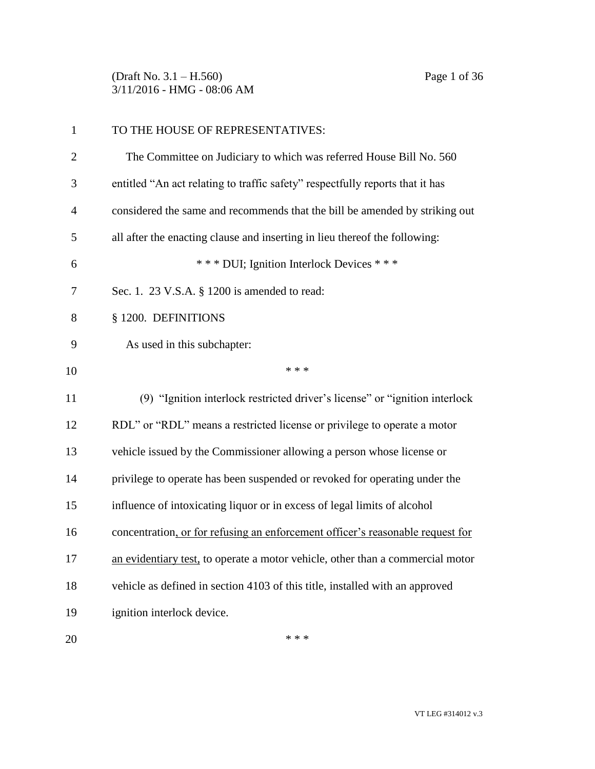(Draft No. 3.1 – H.560) Page 1 of 36 3/11/2016 - HMG - 08:06 AM

| $\mathbf{1}$   | TO THE HOUSE OF REPRESENTATIVES:                                               |
|----------------|--------------------------------------------------------------------------------|
| $\overline{2}$ | The Committee on Judiciary to which was referred House Bill No. 560            |
| 3              | entitled "An act relating to traffic safety" respectfully reports that it has  |
| $\overline{4}$ | considered the same and recommends that the bill be amended by striking out    |
| 5              | all after the enacting clause and inserting in lieu thereof the following:     |
| 6              | *** DUI; Ignition Interlock Devices ***                                        |
| 7              | Sec. 1. 23 V.S.A. § 1200 is amended to read:                                   |
| 8              | § 1200. DEFINITIONS                                                            |
| 9              | As used in this subchapter:                                                    |
| 10             | * * *                                                                          |
| 11             | (9) "Ignition interlock restricted driver's license" or "ignition interlock    |
| 12             | RDL" or "RDL" means a restricted license or privilege to operate a motor       |
| 13             | vehicle issued by the Commissioner allowing a person whose license or          |
| 14             | privilege to operate has been suspended or revoked for operating under the     |
| 15             | influence of intoxicating liquor or in excess of legal limits of alcohol       |
| 16             | concentration, or for refusing an enforcement officer's reasonable request for |
| 17             | an evidentiary test, to operate a motor vehicle, other than a commercial motor |
| 18             | vehicle as defined in section 4103 of this title, installed with an approved   |
| 19             | ignition interlock device.                                                     |
| 20             | * * *                                                                          |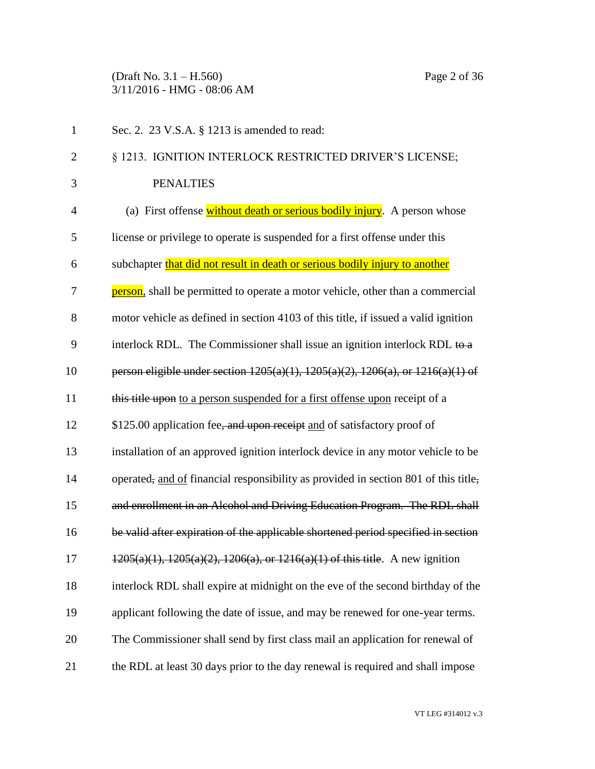(Draft No. 3.1 – H.560) Page 2 of 36 3/11/2016 - HMG - 08:06 AM

| $\mathbf{1}$   | Sec. 2. 23 V.S.A. § 1213 is amended to read:                                               |
|----------------|--------------------------------------------------------------------------------------------|
| $\overline{2}$ | § 1213. IGNITION INTERLOCK RESTRICTED DRIVER'S LICENSE;                                    |
| 3              | <b>PENALTIES</b>                                                                           |
| $\overline{4}$ | (a) First offense without death or serious bodily injury. A person whose                   |
| 5              | license or privilege to operate is suspended for a first offense under this                |
| 6              | subchapter that did not result in death or serious bodily injury to another                |
| 7              | person, shall be permitted to operate a motor vehicle, other than a commercial             |
| 8              | motor vehicle as defined in section 4103 of this title, if issued a valid ignition         |
| 9              | interlock RDL. The Commissioner shall issue an ignition interlock RDL to $a$               |
| 10             | person eligible under section $1205(a)(1)$ , $1205(a)(2)$ , $1206(a)$ , or $1216(a)(1)$ of |
| 11             | this title upon to a person suspended for a first offense upon receipt of a                |
| 12             | \$125.00 application fee, and upon receipt and of satisfactory proof of                    |
| 13             | installation of an approved ignition interlock device in any motor vehicle to be           |
| 14             | operated, and of financial responsibility as provided in section 801 of this title,        |
| 15             | and enrollment in an Alcohol and Driving Education Program. The RDL shall                  |
| 16             | be valid after expiration of the applicable shortened period specified in section          |
| 17             | $1205(a)(1)$ , $1205(a)(2)$ , $1206(a)$ , or $1216(a)(1)$ of this title. A new ignition    |
| 18             | interlock RDL shall expire at midnight on the eve of the second birthday of the            |
| 19             | applicant following the date of issue, and may be renewed for one-year terms.              |
| 20             | The Commissioner shall send by first class mail an application for renewal of              |
| 21             | the RDL at least 30 days prior to the day renewal is required and shall impose             |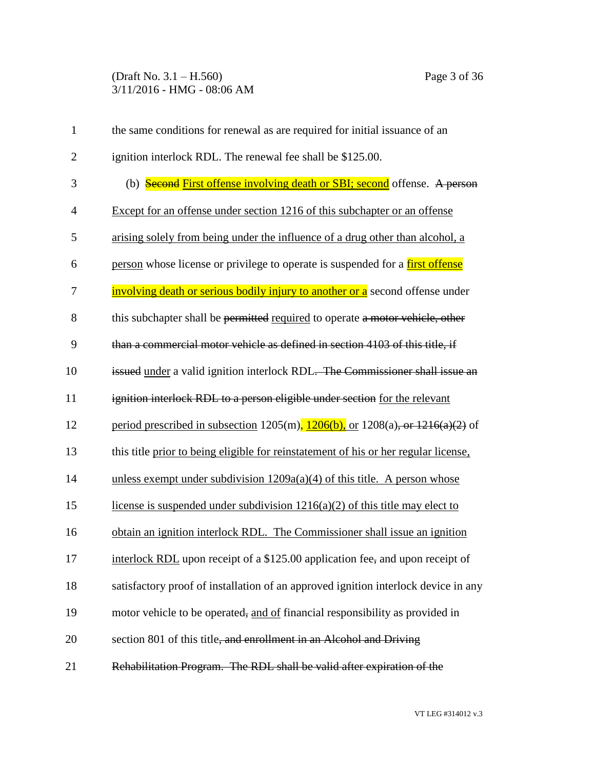# (Draft No. 3.1 – H.560) Page 3 of 36 3/11/2016 - HMG - 08:06 AM

| $\mathbf{1}$   | the same conditions for renewal as are required for initial issuance of an             |
|----------------|----------------------------------------------------------------------------------------|
| $\overline{2}$ | ignition interlock RDL. The renewal fee shall be \$125.00.                             |
| 3              | (b) <b>Second First offense involving death or SBI; second</b> offense. A person       |
| $\overline{4}$ | Except for an offense under section 1216 of this subchapter or an offense              |
| 5              | arising solely from being under the influence of a drug other than alcohol, a          |
| 6              | person whose license or privilege to operate is suspended for a <b>first offense</b>   |
| 7              | involving death or serious bodily injury to another or a second offense under          |
| 8              | this subchapter shall be permitted required to operate a motor vehicle, other          |
| 9              | than a commercial motor vehicle as defined in section 4103 of this title, if           |
| 10             | issued under a valid ignition interlock RDL. The Commissioner shall issue an           |
| 11             | ignition interlock RDL to a person eligible under section for the relevant             |
| 12             | period prescribed in subsection 1205(m), $1206(b)$ , or $1208(a)$ , or $1216(a)(2)$ of |
| 13             | this title prior to being eligible for reinstatement of his or her regular license,    |
| 14             | unless exempt under subdivision $1209a(a)(4)$ of this title. A person whose            |
| 15             | license is suspended under subdivision $1216(a)(2)$ of this title may elect to         |
| 16             | obtain an ignition interlock RDL. The Commissioner shall issue an ignition             |
| 17             | interlock RDL upon receipt of a \$125.00 application fee, and upon receipt of          |
| 18             | satisfactory proof of installation of an approved ignition interlock device in any     |
| 19             | motor vehicle to be operated, and of financial responsibility as provided in           |
| 20             | section 801 of this title, and enrollment in an Alcohol and Driving                    |
| 21             | Rehabilitation Program. The RDL shall be valid after expiration of the                 |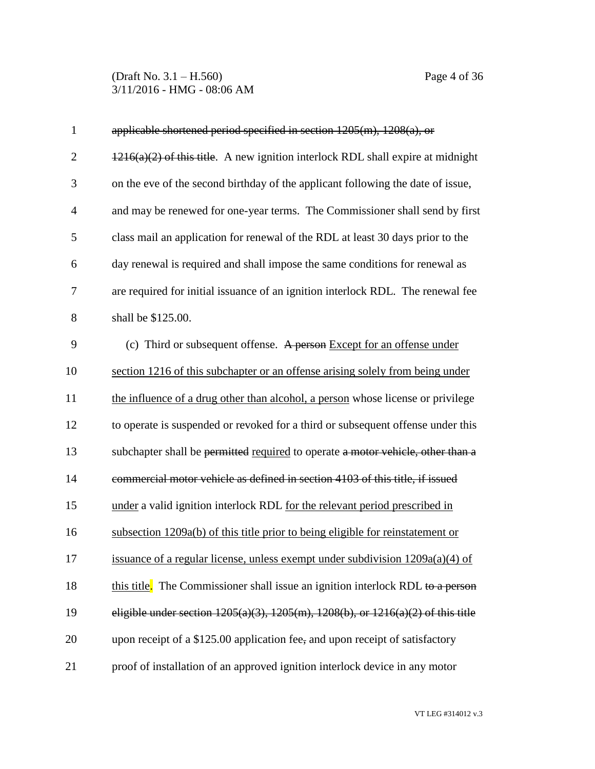(Draft No. 3.1 – H.560) Page 4 of 36 3/11/2016 - HMG - 08:06 AM

| $\mathbf{1}$ | applicable shortened period specified in section $1205(m)$ , $1208(a)$ , or                 |
|--------------|---------------------------------------------------------------------------------------------|
| $\mathbf{2}$ | $1216(a)(2)$ of this title. A new ignition interlock RDL shall expire at midnight           |
| 3            | on the eve of the second birthday of the applicant following the date of issue,             |
| 4            | and may be renewed for one-year terms. The Commissioner shall send by first                 |
| 5            | class mail an application for renewal of the RDL at least 30 days prior to the              |
| 6            | day renewal is required and shall impose the same conditions for renewal as                 |
| 7            | are required for initial issuance of an ignition interlock RDL. The renewal fee             |
| 8            | shall be \$125.00.                                                                          |
| 9            | (c) Third or subsequent offense. A person Except for an offense under                       |
| 10           | section 1216 of this subchapter or an offense arising solely from being under               |
| 11           | the influence of a drug other than alcohol, a person whose license or privilege             |
| 12           | to operate is suspended or revoked for a third or subsequent offense under this             |
| 13           | subchapter shall be permitted required to operate a motor vehicle, other than a             |
| 14           | commercial motor vehicle as defined in section 4103 of this title, if issued                |
| 15           | under a valid ignition interlock RDL for the relevant period prescribed in                  |
| 16           | subsection 1209a(b) of this title prior to being eligible for reinstatement or              |
| 17           | issuance of a regular license, unless exempt under subdivision 1209a(a)(4) of               |
| 18           | this title. The Commissioner shall issue an ignition interlock RDL to a person              |
| 19           | eligible under section $1205(a)(3)$ , $1205(m)$ , $1208(b)$ , or $1216(a)(2)$ of this title |
| 20           | upon receipt of a \$125.00 application fee, and upon receipt of satisfactory                |
| 21           | proof of installation of an approved ignition interlock device in any motor                 |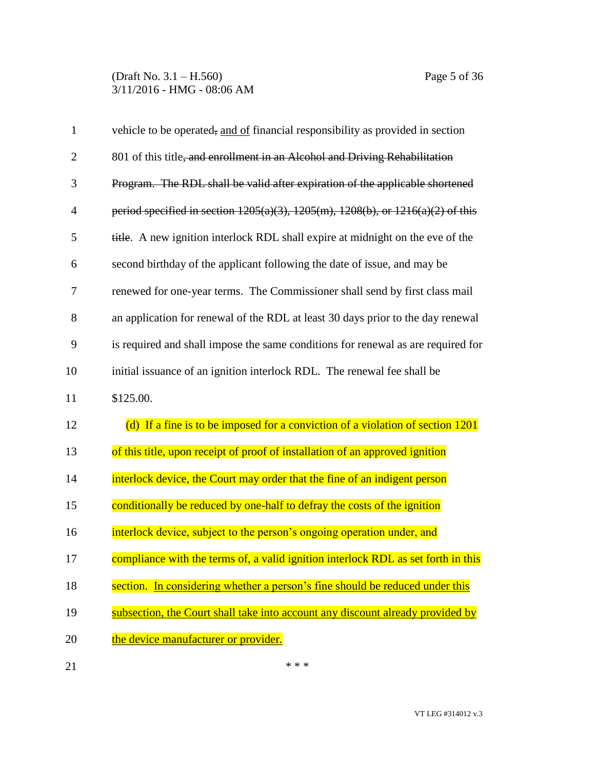| $\mathbf{1}$   | vehicle to be operated, and of financial responsibility as provided in section             |
|----------------|--------------------------------------------------------------------------------------------|
| $\overline{2}$ | 801 of this title, and enrollment in an Alcohol and Driving Rehabilitation                 |
| 3              | Program. The RDL shall be valid after expiration of the applicable shortened               |
| $\overline{4}$ | period specified in section $1205(a)(3)$ , $1205(m)$ , $1208(b)$ , or $1216(a)(2)$ of this |
| 5              | title. A new ignition interlock RDL shall expire at midnight on the eve of the             |
| 6              | second birthday of the applicant following the date of issue, and may be                   |
| $\overline{7}$ | renewed for one-year terms. The Commissioner shall send by first class mail                |
| 8              | an application for renewal of the RDL at least 30 days prior to the day renewal            |
| 9              | is required and shall impose the same conditions for renewal as are required for           |
| 10             | initial issuance of an ignition interlock RDL. The renewal fee shall be                    |
| 11             | \$125.00.                                                                                  |
| 12             | (d) If a fine is to be imposed for a conviction of a violation of section 1201             |
| 13             | of this title, upon receipt of proof of installation of an approved ignition               |
| 14             | interlock device, the Court may order that the fine of an indigent person                  |
| 15             | conditionally be reduced by one-half to defray the costs of the ignition                   |
| 16             | interlock device, subject to the person's ongoing operation under, and                     |
| 17             | compliance with the terms of, a valid ignition interlock RDL as set forth in this          |
| 18             | section. In considering whether a person's fine should be reduced under this               |
| 19             | subsection, the Court shall take into account any discount already provided by             |
| 20             | the device manufacturer or provider.                                                       |
| 21             | * * *                                                                                      |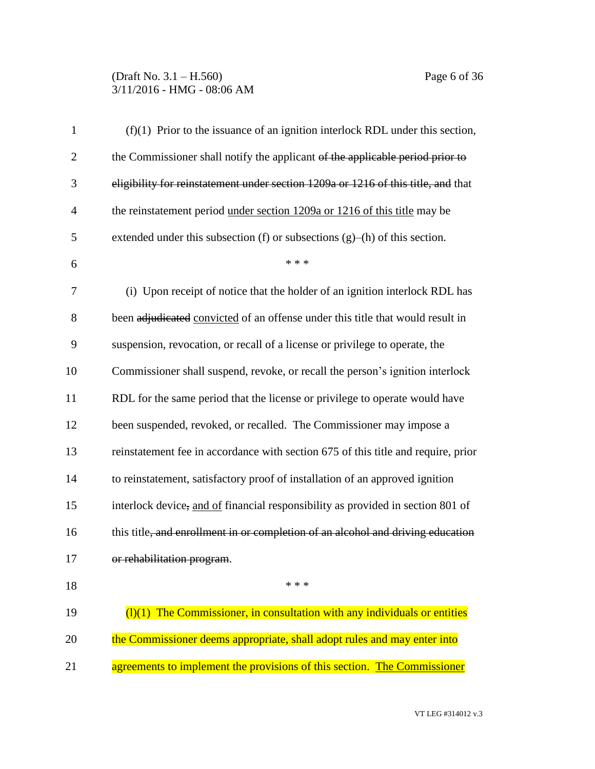# (Draft No. 3.1 – H.560) Page 6 of 36 3/11/2016 - HMG - 08:06 AM

| $\mathbf{1}$   | $(f)(1)$ Prior to the issuance of an ignition interlock RDL under this section,    |
|----------------|------------------------------------------------------------------------------------|
| $\overline{2}$ | the Commissioner shall notify the applicant of the applicable period prior to      |
| 3              | eligibility for reinstatement under section 1209a or 1216 of this title, and that  |
| $\overline{4}$ | the reinstatement period under section 1209a or 1216 of this title may be          |
| 5              | extended under this subsection $(f)$ or subsections $(g)$ – $(h)$ of this section. |
| 6              | * * *                                                                              |
| $\overline{7}$ | (i) Upon receipt of notice that the holder of an ignition interlock RDL has        |
| 8              | been adjudicated convicted of an offense under this title that would result in     |
| 9              | suspension, revocation, or recall of a license or privilege to operate, the        |
| 10             | Commissioner shall suspend, revoke, or recall the person's ignition interlock      |
| 11             | RDL for the same period that the license or privilege to operate would have        |
| 12             | been suspended, revoked, or recalled. The Commissioner may impose a                |
| 13             | reinstatement fee in accordance with section 675 of this title and require, prior  |
| 14             | to reinstatement, satisfactory proof of installation of an approved ignition       |
| 15             | interlock device, and of financial responsibility as provided in section 801 of    |
| 16             | this title, and enrollment in or completion of an alcohol and driving education    |
| 17             | or rehabilitation program.                                                         |
| 18             | * * *                                                                              |
| 19             | $(1)(1)$ The Commissioner, in consultation with any individuals or entities        |
| 20             | the Commissioner deems appropriate, shall adopt rules and may enter into           |
| 21             | agreements to implement the provisions of this section. The Commissioner           |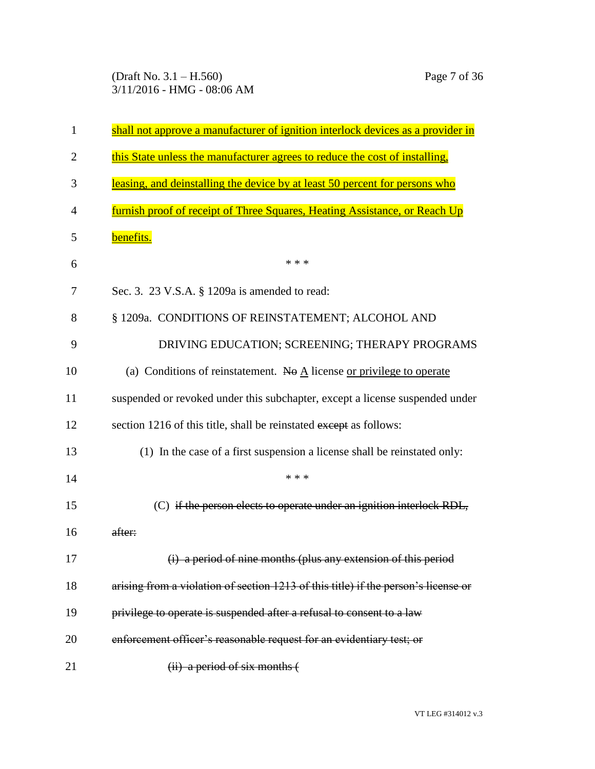(Draft No. 3.1 – H.560) Page 7 of 36 3/11/2016 - HMG - 08:06 AM

| $\mathbf{1}$   | shall not approve a manufacturer of ignition interlock devices as a provider in     |
|----------------|-------------------------------------------------------------------------------------|
| $\overline{2}$ | this State unless the manufacturer agrees to reduce the cost of installing,         |
| 3              | leasing, and deinstalling the device by at least 50 percent for persons who         |
| 4              | <u>furnish proof of receipt of Three Squares, Heating Assistance, or Reach Up</u>   |
| 5              | benefits.                                                                           |
| 6              | * * *                                                                               |
| 7              | Sec. 3. 23 V.S.A. § 1209a is amended to read:                                       |
| 8              | § 1209a. CONDITIONS OF REINSTATEMENT; ALCOHOL AND                                   |
| 9              | DRIVING EDUCATION; SCREENING; THERAPY PROGRAMS                                      |
| 10             | (a) Conditions of reinstatement. No $\underline{A}$ license or privilege to operate |
| 11             | suspended or revoked under this subchapter, except a license suspended under        |
| 12             | section 1216 of this title, shall be reinstated except as follows:                  |
| 13             | (1) In the case of a first suspension a license shall be reinstated only:           |
| 14             | * * *                                                                               |
| 15             | (C) if the person elects to operate under an ignition interlock RDL,                |
| 16             | after:                                                                              |
| 17             | (i) a period of nine months (plus any extension of this period                      |
| 18             | arising from a violation of section 1213 of this title) if the person's license or  |
| 19             | privilege to operate is suspended after a refusal to consent to a law               |
| 20             | enforcement officer's reasonable request for an evidentiary test; or                |
| 21             | $(ii)$ a period of six months $($                                                   |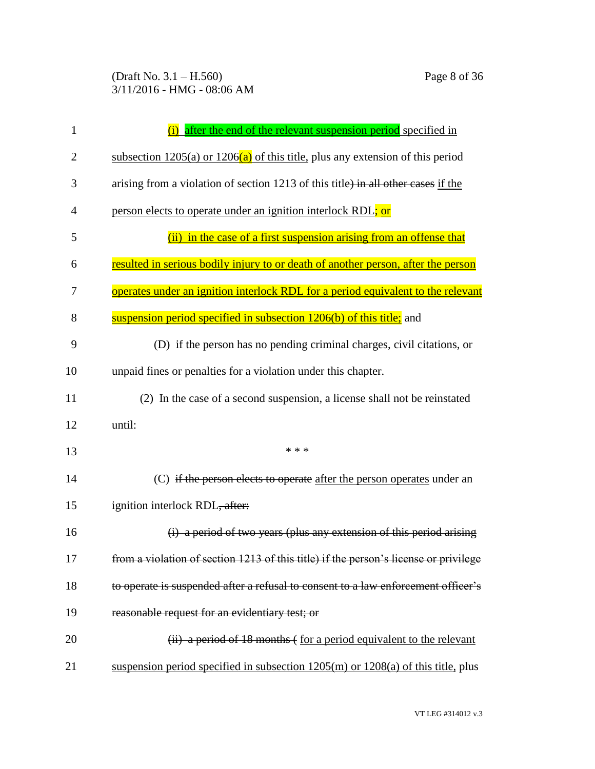| 1  | after the end of the relevant suspension period specified in                         |
|----|--------------------------------------------------------------------------------------|
| 2  | subsection $1205(a)$ or $1206(a)$ of this title, plus any extension of this period   |
| 3  | arising from a violation of section 1213 of this title) in all other cases if the    |
| 4  | person elects to operate under an ignition interlock RDL; or                         |
| 5  | (ii) in the case of a first suspension arising from an offense that                  |
| 6  | resulted in serious bodily injury to or death of another person, after the person    |
| 7  | operates under an ignition interlock RDL for a period equivalent to the relevant     |
| 8  | suspension period specified in subsection 1206(b) of this title; and                 |
| 9  | (D) if the person has no pending criminal charges, civil citations, or               |
| 10 | unpaid fines or penalties for a violation under this chapter.                        |
| 11 | (2) In the case of a second suspension, a license shall not be reinstated            |
| 12 | until:                                                                               |
| 13 | * * *                                                                                |
| 14 | (C) if the person elects to operate after the person operates under an               |
| 15 | ignition interlock RDL, after:                                                       |
| 16 | (i) a period of two years (plus any extension of this period arising                 |
| 17 | from a violation of section 1213 of this title) if the person's license or privilege |
| 18 | to operate is suspended after a refusal to consent to a law enforcement officer's    |
| 19 | reasonable request for an evidentiary test; or                                       |
| 20 | (ii) a period of 18 months (for a period equivalent to the relevant                  |
| 21 | suspension period specified in subsection $1205(m)$ or $1208(a)$ of this title, plus |

VT LEG #314012 v.3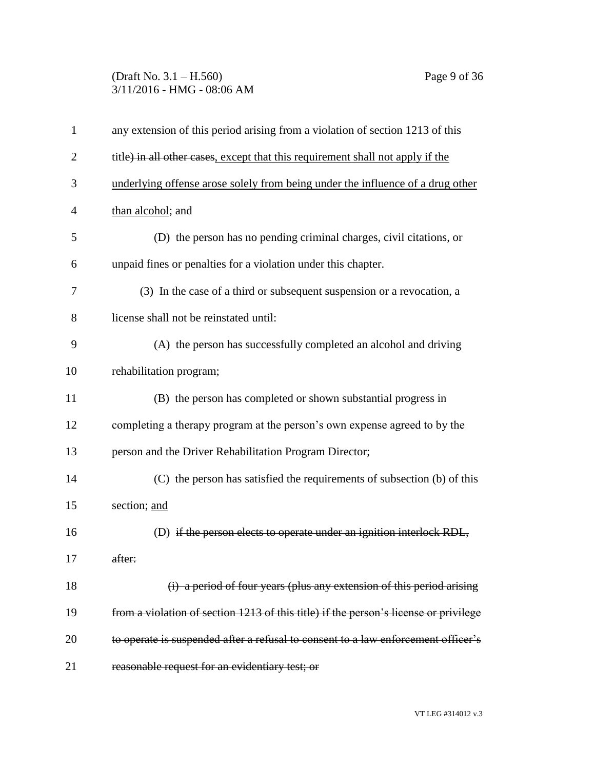## (Draft No. 3.1 – H.560) Page 9 of 36 3/11/2016 - HMG - 08:06 AM

| 1              | any extension of this period arising from a violation of section 1213 of this        |
|----------------|--------------------------------------------------------------------------------------|
| $\overline{2}$ | title) in all other cases, except that this requirement shall not apply if the       |
| 3              | underlying offense arose solely from being under the influence of a drug other       |
| 4              | than alcohol; and                                                                    |
| 5              | (D) the person has no pending criminal charges, civil citations, or                  |
| 6              | unpaid fines or penalties for a violation under this chapter.                        |
| 7              | (3) In the case of a third or subsequent suspension or a revocation, a               |
| 8              | license shall not be reinstated until:                                               |
| 9              | (A) the person has successfully completed an alcohol and driving                     |
| 10             | rehabilitation program;                                                              |
| 11             | (B) the person has completed or shown substantial progress in                        |
| 12             | completing a therapy program at the person's own expense agreed to by the            |
| 13             | person and the Driver Rehabilitation Program Director;                               |
| 14             | (C) the person has satisfied the requirements of subsection (b) of this              |
| 15             | section; and                                                                         |
| 16             | (D) if the person elects to operate under an ignition interlock RDL,                 |
| 17             | after:                                                                               |
| 18             | (i) a period of four years (plus any extension of this period arising                |
| 19             | from a violation of section 1213 of this title) if the person's license or privilege |
| 20             | to operate is suspended after a refusal to consent to a law enforcement officer's    |
| 21             | reasonable request for an evidentiary test; or                                       |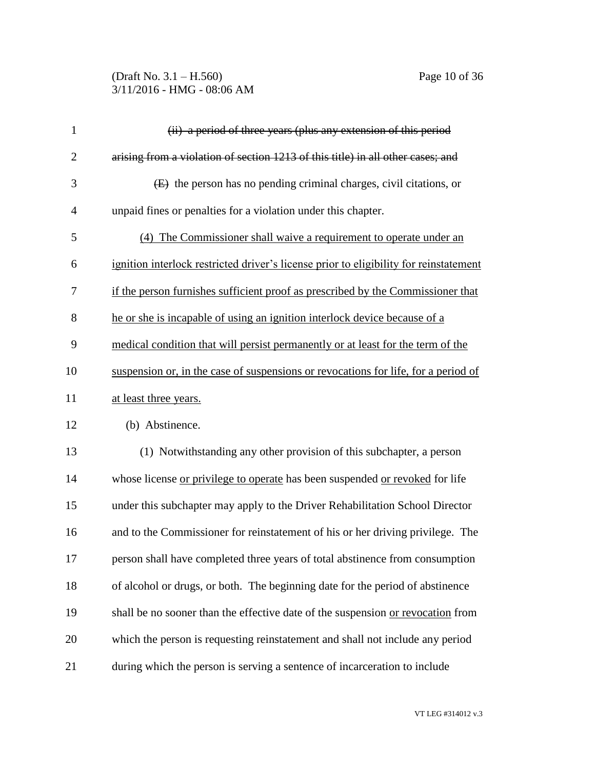#### (Draft No. 3.1 – H.560) Page 10 of 36 3/11/2016 - HMG - 08:06 AM

| $\mathbf{1}$   | (ii) a period of three years (plus any extension of this period                       |
|----------------|---------------------------------------------------------------------------------------|
| $\overline{2}$ | arising from a violation of section 1213 of this title) in all other cases; and       |
| 3              | $(E)$ the person has no pending criminal charges, civil citations, or                 |
| $\overline{4}$ | unpaid fines or penalties for a violation under this chapter.                         |
| 5              | (4) The Commissioner shall waive a requirement to operate under an                    |
| 6              | ignition interlock restricted driver's license prior to eligibility for reinstatement |
| 7              | if the person furnishes sufficient proof as prescribed by the Commissioner that       |
| 8              | he or she is incapable of using an ignition interlock device because of a             |
| 9              | medical condition that will persist permanently or at least for the term of the       |
| 10             | suspension or, in the case of suspensions or revocations for life, for a period of    |
| 11             | at least three years.                                                                 |
| 12             | (b) Abstinence.                                                                       |
| 13             | (1) Notwithstanding any other provision of this subchapter, a person                  |
| 14             | whose license or privilege to operate has been suspended or revoked for life          |
| 15             | under this subchapter may apply to the Driver Rehabilitation School Director          |
|                |                                                                                       |

 and to the Commissioner for reinstatement of his or her driving privilege. The person shall have completed three years of total abstinence from consumption of alcohol or drugs, or both. The beginning date for the period of abstinence 19 shall be no sooner than the effective date of the suspension or revocation from which the person is requesting reinstatement and shall not include any period during which the person is serving a sentence of incarceration to include

VT LEG #314012 v.3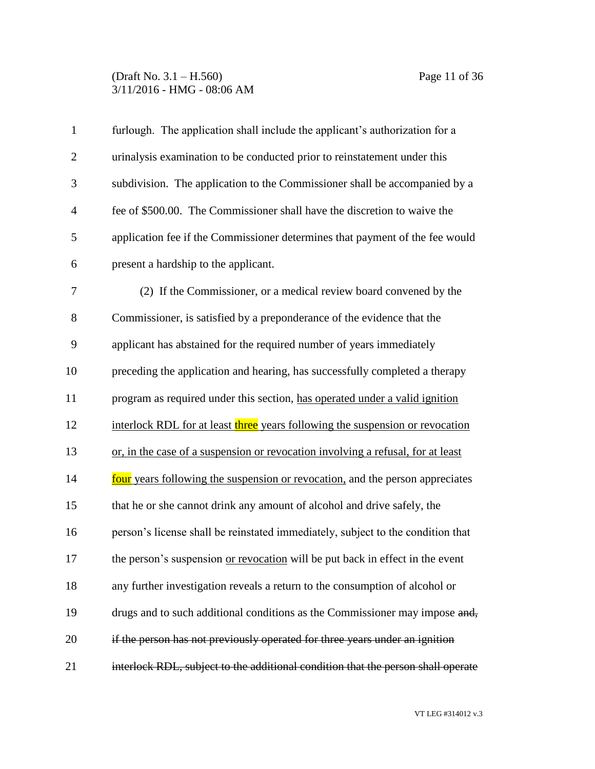#### (Draft No. 3.1 – H.560) Page 11 of 36 3/11/2016 - HMG - 08:06 AM

| $\mathbf{1}$   | furlough. The application shall include the applicant's authorization for a      |
|----------------|----------------------------------------------------------------------------------|
| $\overline{2}$ | urinalysis examination to be conducted prior to reinstatement under this         |
| 3              | subdivision. The application to the Commissioner shall be accompanied by a       |
| $\overline{4}$ | fee of \$500.00. The Commissioner shall have the discretion to waive the         |
| 5              | application fee if the Commissioner determines that payment of the fee would     |
| 6              | present a hardship to the applicant.                                             |
| 7              | (2) If the Commissioner, or a medical review board convened by the               |
| 8              | Commissioner, is satisfied by a preponderance of the evidence that the           |
| 9              | applicant has abstained for the required number of years immediately             |
| 10             | preceding the application and hearing, has successfully completed a therapy      |
| 11             | program as required under this section, has operated under a valid ignition      |
| 12             | interlock RDL for at least three years following the suspension or revocation    |
| 13             | or, in the case of a suspension or revocation involving a refusal, for at least  |
| 14             | four years following the suspension or revocation, and the person appreciates    |
| 15             | that he or she cannot drink any amount of alcohol and drive safely, the          |
| 16             | person's license shall be reinstated immediately, subject to the condition that  |
| 17             | the person's suspension or revocation will be put back in effect in the event    |
| 18             | any further investigation reveals a return to the consumption of alcohol or      |
| 19             | drugs and to such additional conditions as the Commissioner may impose and,      |
| 20             | if the person has not previously operated for three years under an ignition      |
| 21             | interlock RDL, subject to the additional condition that the person shall operate |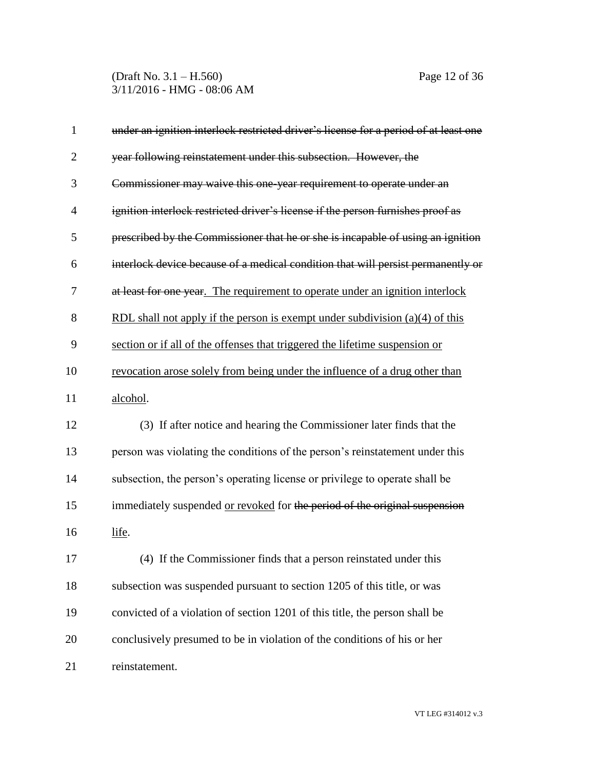(Draft No. 3.1 – H.560) Page 12 of 36 3/11/2016 - HMG - 08:06 AM

| $\mathbf{1}$   | under an ignition interlock restricted driver's license for a period of at least one |
|----------------|--------------------------------------------------------------------------------------|
| $\overline{2}$ | year following reinstatement under this subsection. However, the                     |
| 3              | Commissioner may waive this one year requirement to operate under an                 |
| $\overline{4}$ | ignition interlock restricted driver's license if the person furnishes proof as      |
| 5              | prescribed by the Commissioner that he or she is incapable of using an ignition      |
| 6              | interlock device because of a medical condition that will persist permanently or     |
| 7              | at least for one year. The requirement to operate under an ignition interlock        |
| 8              | RDL shall not apply if the person is exempt under subdivision $(a)(4)$ of this       |
| 9              | section or if all of the offenses that triggered the lifetime suspension or          |
| 10             | revocation arose solely from being under the influence of a drug other than          |
| 11             | alcohol.                                                                             |
| 12             | (3) If after notice and hearing the Commissioner later finds that the                |
| 13             | person was violating the conditions of the person's reinstatement under this         |
| 14             | subsection, the person's operating license or privilege to operate shall be          |
| 15             | immediately suspended or revoked for the period of the original suspension           |
| 16             | life.                                                                                |
| 17             | (4) If the Commissioner finds that a person reinstated under this                    |
| 18             | subsection was suspended pursuant to section 1205 of this title, or was              |
| 19             | convicted of a violation of section 1201 of this title, the person shall be          |
| 20             | conclusively presumed to be in violation of the conditions of his or her             |
| 21             | reinstatement.                                                                       |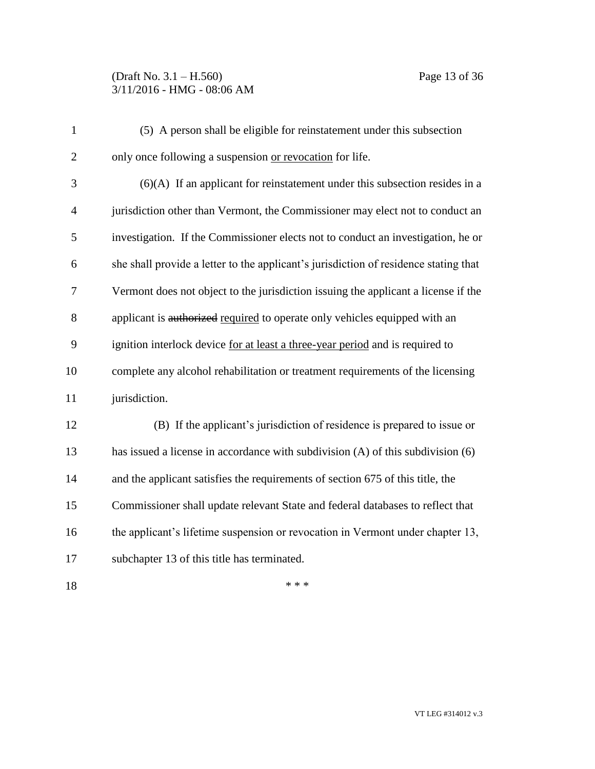## (Draft No. 3.1 – H.560) Page 13 of 36 3/11/2016 - HMG - 08:06 AM

| $\mathbf{1}$   | (5) A person shall be eligible for reinstatement under this subsection               |
|----------------|--------------------------------------------------------------------------------------|
| $\overline{2}$ | only once following a suspension or revocation for life.                             |
| 3              | $(6)(A)$ If an applicant for reinstatement under this subsection resides in a        |
| $\overline{4}$ | jurisdiction other than Vermont, the Commissioner may elect not to conduct an        |
| 5              | investigation. If the Commissioner elects not to conduct an investigation, he or     |
| 6              | she shall provide a letter to the applicant's jurisdiction of residence stating that |
| 7              | Vermont does not object to the jurisdiction issuing the applicant a license if the   |
| 8              | applicant is authorized required to operate only vehicles equipped with an           |
| 9              | ignition interlock device for at least a three-year period and is required to        |
| 10             | complete any alcohol rehabilitation or treatment requirements of the licensing       |
| 11             | jurisdiction.                                                                        |
| 12             | (B) If the applicant's jurisdiction of residence is prepared to issue or             |
| 13             | has issued a license in accordance with subdivision (A) of this subdivision (6)      |
| 14             | and the applicant satisfies the requirements of section 675 of this title, the       |
| 15             | Commissioner shall update relevant State and federal databases to reflect that       |
| 16             | the applicant's lifetime suspension or revocation in Vermont under chapter 13,       |
| 17             | subchapter 13 of this title has terminated.                                          |
| 18             | * * *                                                                                |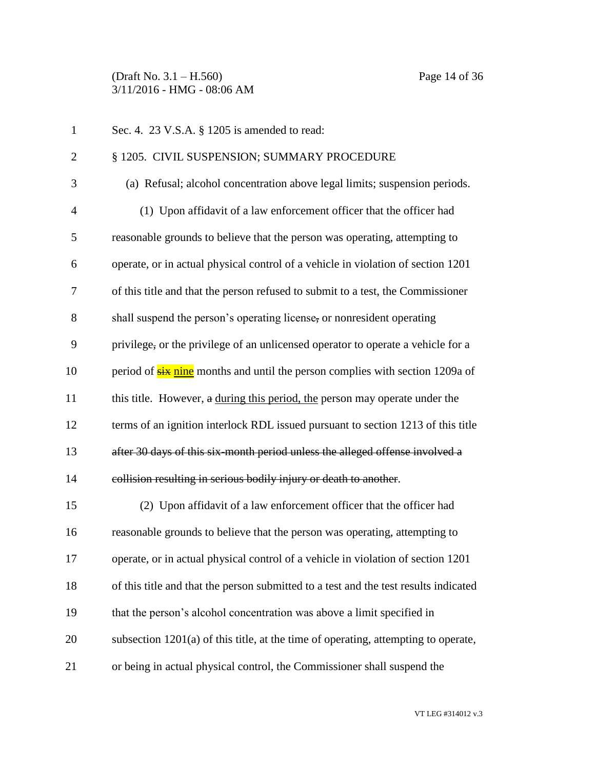(Draft No. 3.1 – H.560) Page 14 of 36 3/11/2016 - HMG - 08:06 AM

| $\mathbf{1}$   | Sec. 4. 23 V.S.A. § 1205 is amended to read:                                         |
|----------------|--------------------------------------------------------------------------------------|
| $\overline{2}$ | § 1205. CIVIL SUSPENSION; SUMMARY PROCEDURE                                          |
| 3              | (a) Refusal; alcohol concentration above legal limits; suspension periods.           |
| $\overline{4}$ | (1) Upon affidavit of a law enforcement officer that the officer had                 |
| 5              | reasonable grounds to believe that the person was operating, attempting to           |
| 6              | operate, or in actual physical control of a vehicle in violation of section 1201     |
| 7              | of this title and that the person refused to submit to a test, the Commissioner      |
| 8              | shall suspend the person's operating license, or nonresident operating               |
| 9              | privilege, or the privilege of an unlicensed operator to operate a vehicle for a     |
| 10             | period of <b>six nine</b> months and until the person complies with section 1209a of |
| 11             | this title. However, a during this period, the person may operate under the          |
| 12             | terms of an ignition interlock RDL issued pursuant to section 1213 of this title     |
| 13             | after 30 days of this six-month period unless the alleged offense involved a         |
| 14             | collision resulting in serious bodily injury or death to another.                    |
| 15             | (2) Upon affidavit of a law enforcement officer that the officer had                 |
| 16             | reasonable grounds to believe that the person was operating, attempting to           |
| 17             | operate, or in actual physical control of a vehicle in violation of section 1201     |
| 18             | of this title and that the person submitted to a test and the test results indicated |
| 19             | that the person's alcohol concentration was above a limit specified in               |
| 20             | subsection $1201(a)$ of this title, at the time of operating, attempting to operate, |
| 21             | or being in actual physical control, the Commissioner shall suspend the              |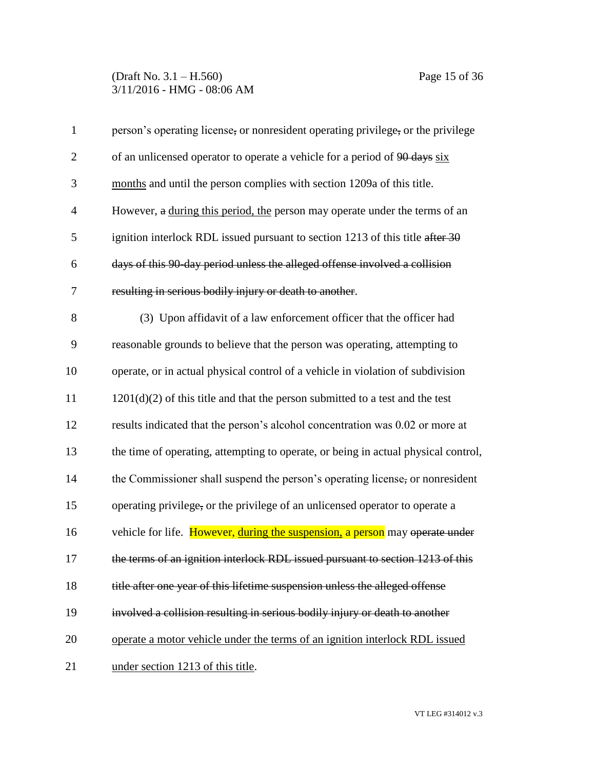#### (Draft No. 3.1 – H.560) Page 15 of 36 3/11/2016 - HMG - 08:06 AM

| $\mathbf{1}$   | person's operating license, or nonresident operating privilege, or the privilege   |
|----------------|------------------------------------------------------------------------------------|
| $\overline{2}$ | of an unlicensed operator to operate a vehicle for a period of 90 days six         |
| 3              | months and until the person complies with section 1209a of this title.             |
| $\overline{4}$ | However, a during this period, the person may operate under the terms of an        |
| 5              | ignition interlock RDL issued pursuant to section 1213 of this title after 30      |
| 6              | days of this 90 day period unless the alleged offense involved a collision         |
| 7              | resulting in serious bodily injury or death to another.                            |
| 8              | (3) Upon affidavit of a law enforcement officer that the officer had               |
| 9              | reasonable grounds to believe that the person was operating, attempting to         |
| 10             | operate, or in actual physical control of a vehicle in violation of subdivision    |
| 11             | $1201(d)(2)$ of this title and that the person submitted to a test and the test    |
| 12             | results indicated that the person's alcohol concentration was 0.02 or more at      |
| 13             | the time of operating, attempting to operate, or being in actual physical control, |
| 14             | the Commissioner shall suspend the person's operating license, or nonresident      |
| 15             | operating privilege, or the privilege of an unlicensed operator to operate a       |
| 16             | vehicle for life. However, during the suspension, a person may operate under       |
| 17             | the terms of an ignition interlock RDL issued pursuant to section 1213 of this     |
| 18             | title after one year of this lifetime suspension unless the alleged offense        |
| 19             | involved a collision resulting in serious bodily injury or death to another        |
| 20             | operate a motor vehicle under the terms of an ignition interlock RDL issued        |
| 21             | under section 1213 of this title.                                                  |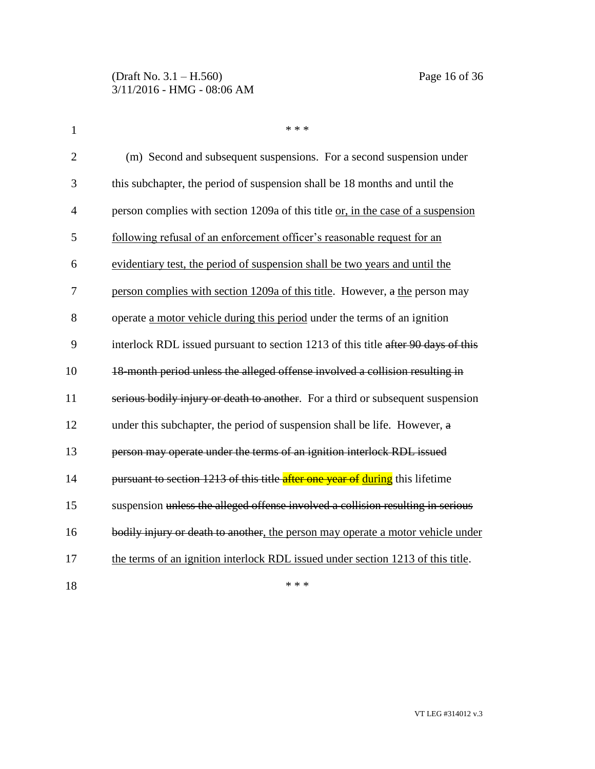| $\mathbf{1}$   | * * *                                                                             |
|----------------|-----------------------------------------------------------------------------------|
| $\overline{2}$ | (m) Second and subsequent suspensions. For a second suspension under              |
| 3              | this subchapter, the period of suspension shall be 18 months and until the        |
| $\overline{4}$ | person complies with section 1209a of this title or, in the case of a suspension  |
| 5              | following refusal of an enforcement officer's reasonable request for an           |
| 6              | evidentiary test, the period of suspension shall be two years and until the       |
| 7              | person complies with section 1209a of this title. However, a the person may       |
| 8              | operate a motor vehicle during this period under the terms of an ignition         |
| 9              | interlock RDL issued pursuant to section 1213 of this title after 90 days of this |
| 10             | 18-month period unless the alleged offense involved a collision resulting in      |
| 11             | serious bodily injury or death to another. For a third or subsequent suspension   |
| 12             | under this subchapter, the period of suspension shall be life. However, a         |
| 13             | person may operate under the terms of an ignition interlock RDL issued            |
| 14             | pursuant to section 1213 of this title after one year of during this lifetime     |
| 15             | suspension unless the alleged offense involved a collision resulting in serious   |
| 16             | bodily injury or death to another, the person may operate a motor vehicle under   |
| 17             | the terms of an ignition interlock RDL issued under section 1213 of this title.   |
| 18             | * * *                                                                             |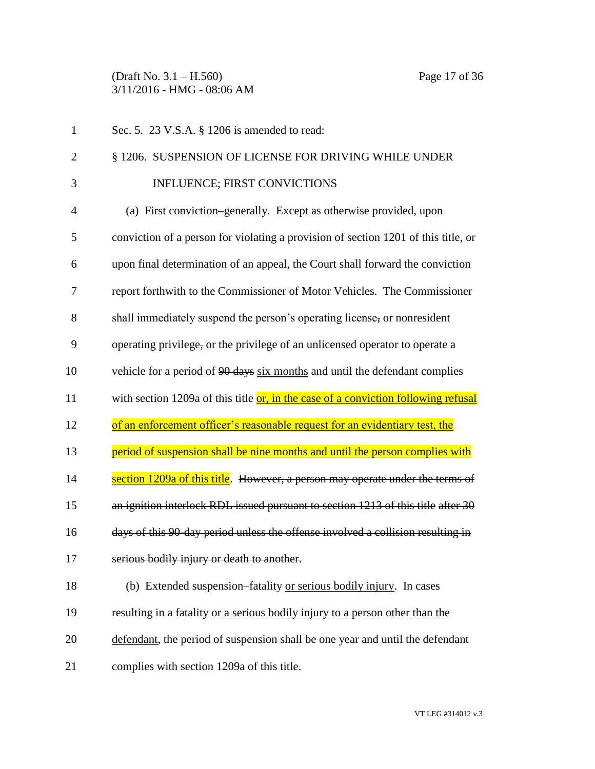(Draft No. 3.1 – H.560) Page 17 of 36 3/11/2016 - HMG - 08:06 AM

| $\mathbf{1}$   | Sec. 5. 23 V.S.A. § 1206 is amended to read:                                              |
|----------------|-------------------------------------------------------------------------------------------|
| $\overline{2}$ | § 1206. SUSPENSION OF LICENSE FOR DRIVING WHILE UNDER                                     |
| 3              | <b>INFLUENCE; FIRST CONVICTIONS</b>                                                       |
| 4              | (a) First conviction–generally. Except as otherwise provided, upon                        |
| 5              | conviction of a person for violating a provision of section 1201 of this title, or        |
| 6              | upon final determination of an appeal, the Court shall forward the conviction             |
| 7              | report forthwith to the Commissioner of Motor Vehicles. The Commissioner                  |
| 8              | shall immediately suspend the person's operating license, or nonresident                  |
| 9              | operating privilege, or the privilege of an unlicensed operator to operate a              |
| 10             | vehicle for a period of 90 days six months and until the defendant complies               |
|                |                                                                                           |
| 11             | with section 1209a of this title <b>or, in the case of a conviction following refusal</b> |
| 12             | of an enforcement officer's reasonable request for an evidentiary test, the               |
| 13             | period of suspension shall be nine months and until the person complies with              |
| 14             | section 1209a of this title. However, a person may operate under the terms of             |
| 15             | an ignition interlock RDL issued pursuant to section 1213 of this title after 30          |
| 16             | days of this 90 day period unless the offense involved a collision resulting in           |
| 17             | serious bodily injury or death to another.                                                |
| 18             | (b) Extended suspension–fatality or serious bodily injury. In cases                       |
| 19             | resulting in a fatality or a serious bodily injury to a person other than the             |
| 20             | defendant, the period of suspension shall be one year and until the defendant             |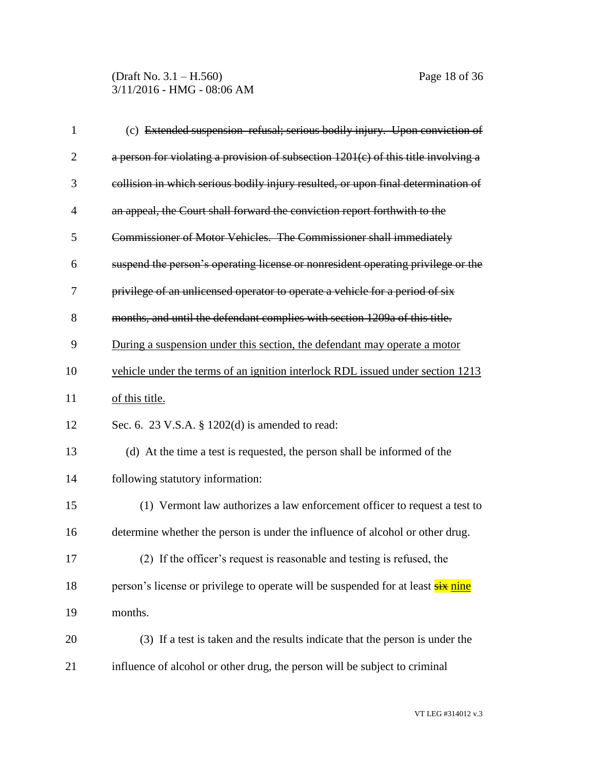(Draft No. 3.1 – H.560) Page 18 of 36 3/11/2016 - HMG - 08:06 AM

| $\mathbf{1}$   | (c) Extended suspension-refusal; serious bodily injury. Upon conviction of         |
|----------------|------------------------------------------------------------------------------------|
| $\overline{2}$ | a person for violating a provision of subsection 1201(c) of this title involving a |
| 3              | collision in which serious bodily injury resulted, or upon final determination of  |
| $\overline{4}$ | an appeal, the Court shall forward the conviction report forthwith to the          |
| 5              | Commissioner of Motor Vehicles. The Commissioner shall immediately                 |
| 6              | suspend the person's operating license or nonresident operating privilege or the   |
| 7              | privilege of an unlicensed operator to operate a vehicle for a period of six       |
| 8              | months, and until the defendant complies with section 1209a of this title.         |
| 9              | During a suspension under this section, the defendant may operate a motor          |
| 10             | vehicle under the terms of an ignition interlock RDL issued under section 1213     |
| 11             | of this title.                                                                     |
| 12             | Sec. 6. 23 V.S.A. $\S$ 1202(d) is amended to read:                                 |
| 13             | (d) At the time a test is requested, the person shall be informed of the           |
| 14             | following statutory information:                                                   |
| 15             | (1) Vermont law authorizes a law enforcement officer to request a test to          |
| 16             | determine whether the person is under the influence of alcohol or other drug.      |
| 17             | (2) If the officer's request is reasonable and testing is refused, the             |
| 18             | person's license or privilege to operate will be suspended for at least six nine   |
| 19             | months.                                                                            |
| 20             | (3) If a test is taken and the results indicate that the person is under the       |
| 21             | influence of alcohol or other drug, the person will be subject to criminal         |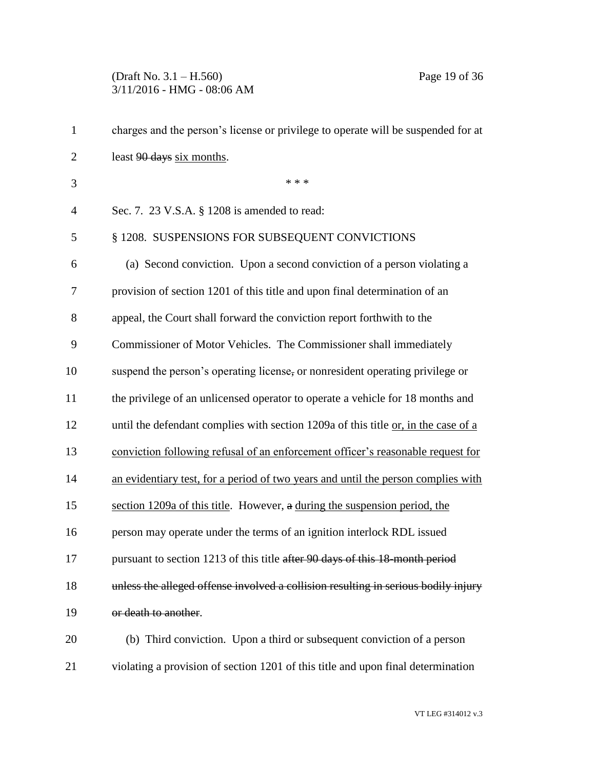# (Draft No. 3.1 – H.560) Page 19 of 36 3/11/2016 - HMG - 08:06 AM

| $\mathbf{1}$   | charges and the person's license or privilege to operate will be suspended for at  |
|----------------|------------------------------------------------------------------------------------|
| $\overline{2}$ | least 90 days six months.                                                          |
| 3              | * * *                                                                              |
| $\overline{4}$ | Sec. 7. 23 V.S.A. § 1208 is amended to read:                                       |
| 5              | § 1208. SUSPENSIONS FOR SUBSEQUENT CONVICTIONS                                     |
| 6              | (a) Second conviction. Upon a second conviction of a person violating a            |
| 7              | provision of section 1201 of this title and upon final determination of an         |
| 8              | appeal, the Court shall forward the conviction report forthwith to the             |
| 9              | Commissioner of Motor Vehicles. The Commissioner shall immediately                 |
| 10             | suspend the person's operating license, or nonresident operating privilege or      |
| 11             | the privilege of an unlicensed operator to operate a vehicle for 18 months and     |
| 12             | until the defendant complies with section 1209a of this title or, in the case of a |
| 13             | conviction following refusal of an enforcement officer's reasonable request for    |
| 14             | an evidentiary test, for a period of two years and until the person complies with  |
| 15             | section 1209a of this title. However, a during the suspension period, the          |
| 16             | person may operate under the terms of an ignition interlock RDL issued             |
| 17             | pursuant to section 1213 of this title after 90 days of this 18-month period       |
| 18             | unless the alleged offense involved a collision resulting in serious bodily injury |
| 19             | or death to another.                                                               |
| 20             | (b) Third conviction. Upon a third or subsequent conviction of a person            |
| 21             | violating a provision of section 1201 of this title and upon final determination   |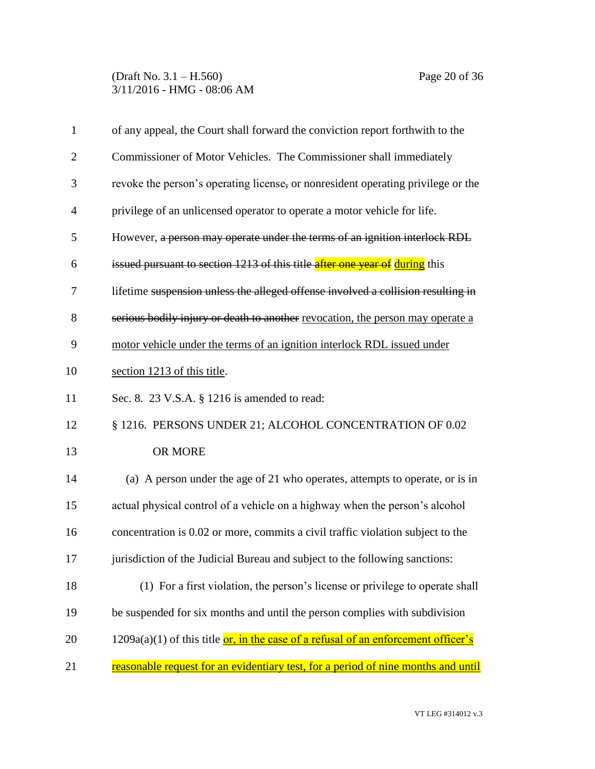(Draft No. 3.1 – H.560) Page 20 of 36 3/11/2016 - HMG - 08:06 AM

| $\mathbf{1}$   | of any appeal, the Court shall forward the conviction report forthwith to the           |
|----------------|-----------------------------------------------------------------------------------------|
| $\overline{2}$ | Commissioner of Motor Vehicles. The Commissioner shall immediately                      |
| 3              | revoke the person's operating license, or nonresident operating privilege or the        |
| $\overline{4}$ | privilege of an unlicensed operator to operate a motor vehicle for life.                |
| 5              | However, a person may operate under the terms of an ignition interlock RDL              |
| 6              | issued pursuant to section 1213 of this title after one year of during this             |
| 7              | lifetime suspension unless the alleged offense involved a collision resulting in        |
| 8              | serious bodily injury or death to another revocation, the person may operate a          |
| 9              | motor vehicle under the terms of an ignition interlock RDL issued under                 |
| 10             | section 1213 of this title.                                                             |
| 11             | Sec. 8. 23 V.S.A. § 1216 is amended to read:                                            |
| 12             | § 1216. PERSONS UNDER 21; ALCOHOL CONCENTRATION OF 0.02                                 |
| 13             | OR MORE                                                                                 |
| 14             | (a) A person under the age of 21 who operates, attempts to operate, or is in            |
| 15             | actual physical control of a vehicle on a highway when the person's alcohol             |
| 16             | concentration is 0.02 or more, commits a civil traffic violation subject to the         |
| 17             | jurisdiction of the Judicial Bureau and subject to the following sanctions:             |
| 18             | (1) For a first violation, the person's license or privilege to operate shall           |
| 19             | be suspended for six months and until the person complies with subdivision              |
| 20             | $1209a(a)(1)$ of this title $or$ , in the case of a refusal of an enforcement officer's |
| 21             | reasonable request for an evidentiary test, for a period of nine months and until       |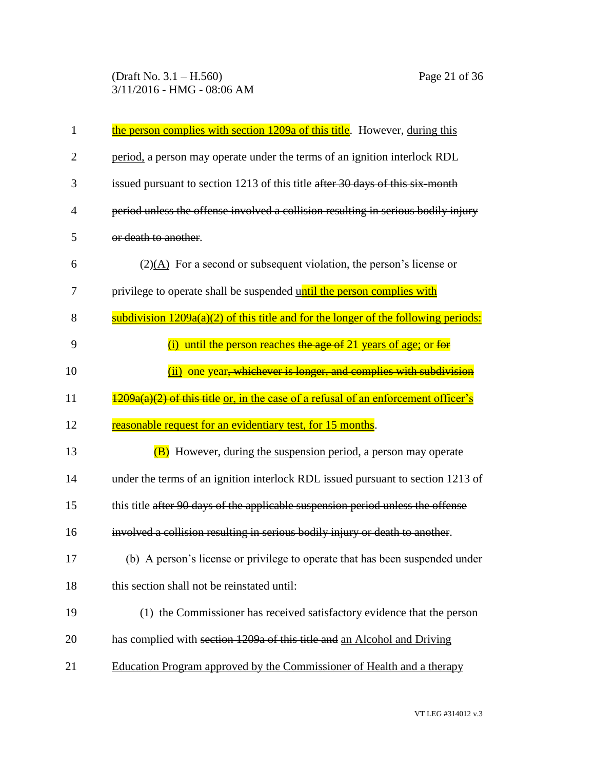(Draft No. 3.1 – H.560) Page 21 of 36 3/11/2016 - HMG - 08:06 AM

| 1              | the person complies with section 1209a of this title. However, during this                 |
|----------------|--------------------------------------------------------------------------------------------|
| $\overline{2}$ | period, a person may operate under the terms of an ignition interlock RDL                  |
| 3              | issued pursuant to section 1213 of this title after 30 days of this six-month              |
| $\overline{4}$ | period unless the offense involved a collision resulting in serious bodily injury          |
| 5              | or death to another.                                                                       |
| 6              | $(2)(A)$ For a second or subsequent violation, the person's license or                     |
| 7              | privilege to operate shall be suspended until the person complies with                     |
| 8              | subdivision $1209a(a)(2)$ of this title and for the longer of the following periods:       |
| 9              | $(i)$ until the person reaches the age of 21 years of age; or for                          |
| 10             | (ii) one year, whichever is longer, and complies with subdivision                          |
| 11             | $\frac{1209a(a)(2)$ of this title or, in the case of a refusal of an enforcement officer's |
| 12             | reasonable request for an evidentiary test, for 15 months.                                 |
| 13             | <b>(B)</b> However, during the suspension period, a person may operate                     |
| 14             | under the terms of an ignition interlock RDL issued pursuant to section 1213 of            |
| 15             | this title after 90 days of the applicable suspension period unless the offense            |
| 16             | involved a collision resulting in serious bodily injury or death to another.               |
| 17             | (b) A person's license or privilege to operate that has been suspended under               |
| 18             | this section shall not be reinstated until:                                                |
|                |                                                                                            |
| 19             | (1) the Commissioner has received satisfactory evidence that the person                    |
| 20             | has complied with section 1209a of this title and an Alcohol and Driving                   |
| 21             | Education Program approved by the Commissioner of Health and a therapy                     |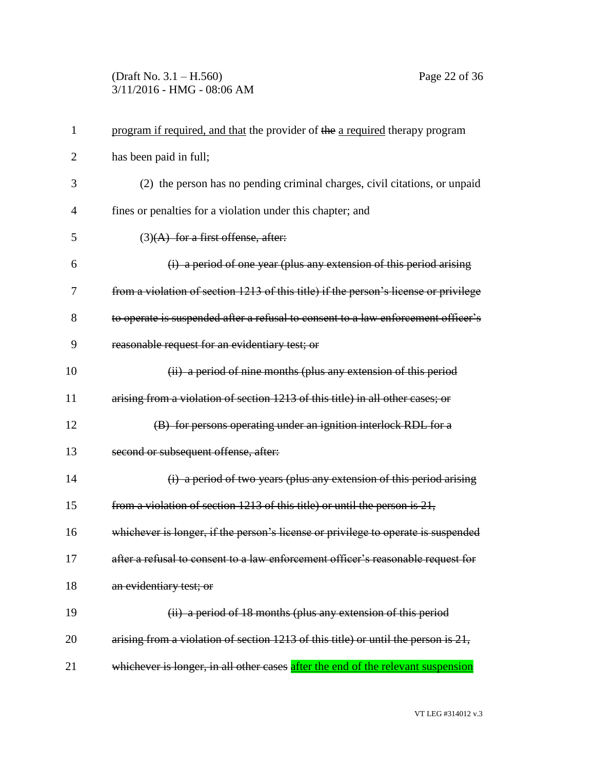## (Draft No. 3.1 – H.560) Page 22 of 36 3/11/2016 - HMG - 08:06 AM

| 1              | program if required, and that the provider of the a required therapy program            |
|----------------|-----------------------------------------------------------------------------------------|
| $\overline{2}$ | has been paid in full;                                                                  |
| 3              | (2) the person has no pending criminal charges, civil citations, or unpaid              |
| $\overline{4}$ | fines or penalties for a violation under this chapter; and                              |
| 5              | $(3)$ (A) for a first offense, after:                                                   |
| 6              | (i) a period of one year (plus any extension of this period arising                     |
| 7              | from a violation of section 1213 of this title) if the person's license or privilege    |
| 8              | to operate is suspended after a refusal to consent to a law enforcement officer's       |
| 9              | reasonable request for an evidentiary test; or                                          |
| 10             | (ii) a period of nine months (plus any extension of this period                         |
| 11             | arising from a violation of section 1213 of this title) in all other cases; or          |
| 12             | (B) for persons operating under an ignition interlock RDL for a                         |
| 13             | second or subsequent offense, after:                                                    |
| 14             | (i) a period of two years (plus any extension of this period arising                    |
| 15             | from a violation of section 1213 of this title) or until the person is 21,              |
| 16             | whichever is longer, if the person's license or privilege to operate is suspended       |
| 17             | after a refusal to consent to a law enforcement officer's reasonable request for        |
| 18             | an evidentiary test; or                                                                 |
| 19             | (ii) a period of 18 months (plus any extension of this period                           |
| 20             | arising from a violation of section $1213$ of this title) or until the person is $21$ , |
| 21             | whichever is longer, in all other cases after the end of the relevant suspension        |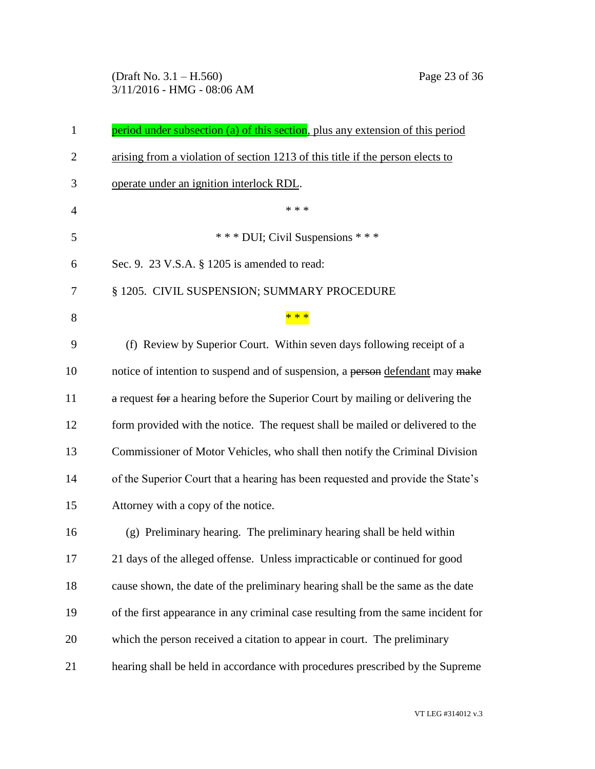(Draft No. 3.1 – H.560) Page 23 of 36 3/11/2016 - HMG - 08:06 AM

| 1              | period under subsection (a) of this section, plus any extension of this period    |
|----------------|-----------------------------------------------------------------------------------|
| $\overline{2}$ | arising from a violation of section 1213 of this title if the person elects to    |
| 3              | operate under an ignition interlock RDL.                                          |
| $\overline{4}$ | * * *                                                                             |
| 5              | *** DUI; Civil Suspensions ***                                                    |
| 6              | Sec. 9. 23 V.S.A. § 1205 is amended to read:                                      |
| 7              | § 1205. CIVIL SUSPENSION; SUMMARY PROCEDURE                                       |
| 8              | * * *                                                                             |
| 9              | (f) Review by Superior Court. Within seven days following receipt of a            |
| 10             | notice of intention to suspend and of suspension, a person defendant may make     |
| 11             | a request for a hearing before the Superior Court by mailing or delivering the    |
| 12             | form provided with the notice. The request shall be mailed or delivered to the    |
| 13             | Commissioner of Motor Vehicles, who shall then notify the Criminal Division       |
| 14             | of the Superior Court that a hearing has been requested and provide the State's   |
| 15             | Attorney with a copy of the notice.                                               |
| 16             | (g) Preliminary hearing. The preliminary hearing shall be held within             |
| 17             | 21 days of the alleged offense. Unless impracticable or continued for good        |
| 18             | cause shown, the date of the preliminary hearing shall be the same as the date    |
| 19             | of the first appearance in any criminal case resulting from the same incident for |
| 20             | which the person received a citation to appear in court. The preliminary          |
| 21             | hearing shall be held in accordance with procedures prescribed by the Supreme     |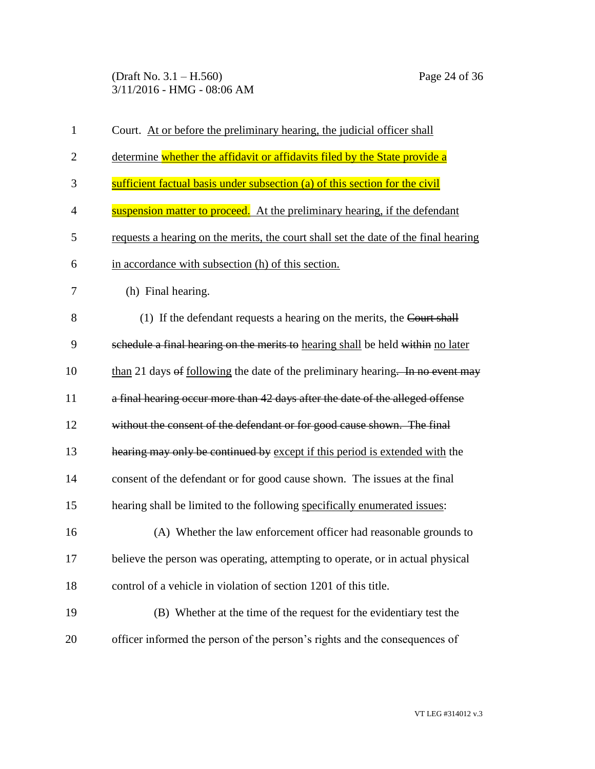(Draft No. 3.1 – H.560) Page 24 of 36 3/11/2016 - HMG - 08:06 AM

| $\mathbf{1}$   | Court. At or before the preliminary hearing, the judicial officer shall             |
|----------------|-------------------------------------------------------------------------------------|
| $\overline{2}$ | determine whether the affidavit or affidavits filed by the State provide a          |
| 3              | sufficient factual basis under subsection (a) of this section for the civil         |
| $\overline{4}$ | suspension matter to proceed. At the preliminary hearing, if the defendant          |
| 5              | requests a hearing on the merits, the court shall set the date of the final hearing |
| 6              | in accordance with subsection (h) of this section.                                  |
| 7              | (h) Final hearing.                                                                  |
| 8              | (1) If the defendant requests a hearing on the merits, the Court shall              |
| 9              | schedule a final hearing on the merits to hearing shall be held within no later     |
| 10             | than 21 days of following the date of the preliminary hearing. In no event may      |
| 11             | a final hearing occur more than 42 days after the date of the alleged offense       |
| 12             | without the consent of the defendant or for good cause shown. The final             |
| 13             | hearing may only be continued by except if this period is extended with the         |
| 14             | consent of the defendant or for good cause shown. The issues at the final           |
| 15             | hearing shall be limited to the following specifically enumerated issues:           |
| 16             | (A) Whether the law enforcement officer had reasonable grounds to                   |
| 17             | believe the person was operating, attempting to operate, or in actual physical      |
| 18             | control of a vehicle in violation of section 1201 of this title.                    |
| 19             | (B) Whether at the time of the request for the evidentiary test the                 |
| 20             | officer informed the person of the person's rights and the consequences of          |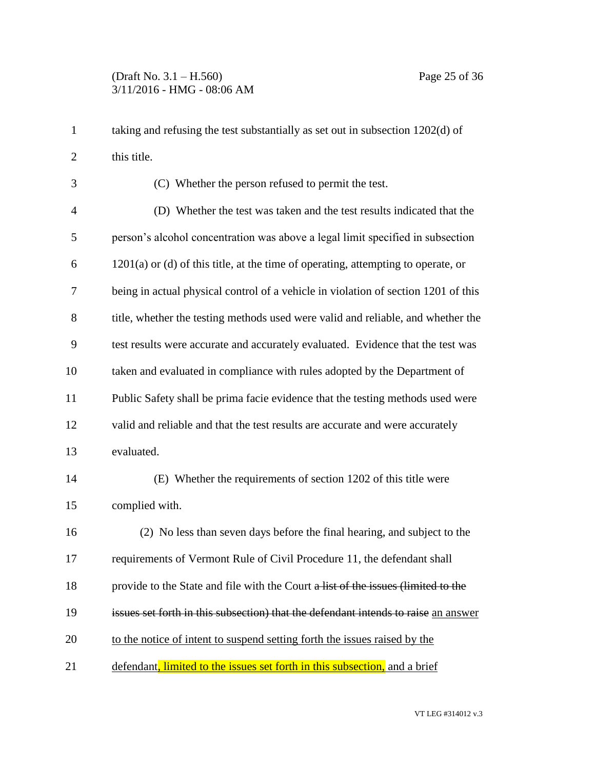taking and refusing the test substantially as set out in subsection 1202(d) of this title.

 (C) Whether the person refused to permit the test. (D) Whether the test was taken and the test results indicated that the person's alcohol concentration was above a legal limit specified in subsection 1201(a) or (d) of this title, at the time of operating, attempting to operate, or being in actual physical control of a vehicle in violation of section 1201 of this title, whether the testing methods used were valid and reliable, and whether the test results were accurate and accurately evaluated. Evidence that the test was taken and evaluated in compliance with rules adopted by the Department of Public Safety shall be prima facie evidence that the testing methods used were valid and reliable and that the test results are accurate and were accurately evaluated. (E) Whether the requirements of section 1202 of this title were complied with. (2) No less than seven days before the final hearing, and subject to the

requirements of Vermont Rule of Civil Procedure 11, the defendant shall

18 provide to the State and file with the Court a list of the issues (limited to the

issues set forth in this subsection) that the defendant intends to raise an answer

to the notice of intent to suspend setting forth the issues raised by the

21 defendant, limited to the issues set forth in this subsection, and a brief

VT LEG #314012 v.3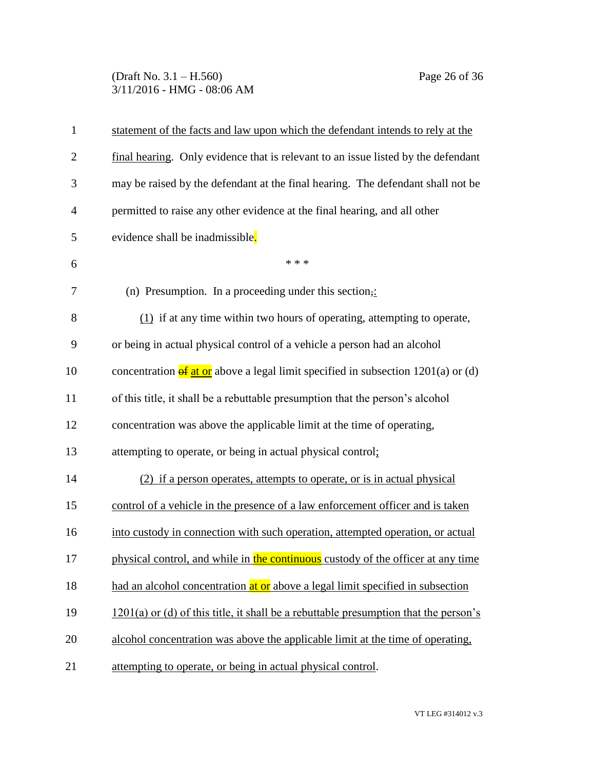(Draft No. 3.1 – H.560) Page 26 of 36 3/11/2016 - HMG - 08:06 AM

| $\mathbf{1}$   | statement of the facts and law upon which the defendant intends to rely at the              |
|----------------|---------------------------------------------------------------------------------------------|
| $\overline{2}$ | final hearing. Only evidence that is relevant to an issue listed by the defendant           |
| 3              | may be raised by the defendant at the final hearing. The defendant shall not be             |
| $\overline{4}$ | permitted to raise any other evidence at the final hearing, and all other                   |
| 5              | evidence shall be inadmissible.                                                             |
| 6              | * * *                                                                                       |
| 7              | (n) Presumption. In a proceeding under this section,:                                       |
| 8              | $(1)$ if at any time within two hours of operating, attempting to operate,                  |
| 9              | or being in actual physical control of a vehicle a person had an alcohol                    |
| 10             | concentration $\frac{df}{dt}$ or above a legal limit specified in subsection 1201(a) or (d) |
| 11             | of this title, it shall be a rebuttable presumption that the person's alcohol               |
| 12             | concentration was above the applicable limit at the time of operating,                      |
| 13             | attempting to operate, or being in actual physical control;                                 |
| 14             | (2) if a person operates, attempts to operate, or is in actual physical                     |
| 15             | control of a vehicle in the presence of a law enforcement officer and is taken              |
| 16             | into custody in connection with such operation, attempted operation, or actual              |
| 17             | physical control, and while in the continuous custody of the officer at any time            |
| 18             | had an alcohol concentration at or above a legal limit specified in subsection              |
| 19             | $1201(a)$ or (d) of this title, it shall be a rebuttable presumption that the person's      |
| 20             | alcohol concentration was above the applicable limit at the time of operating,              |
| 21             | attempting to operate, or being in actual physical control.                                 |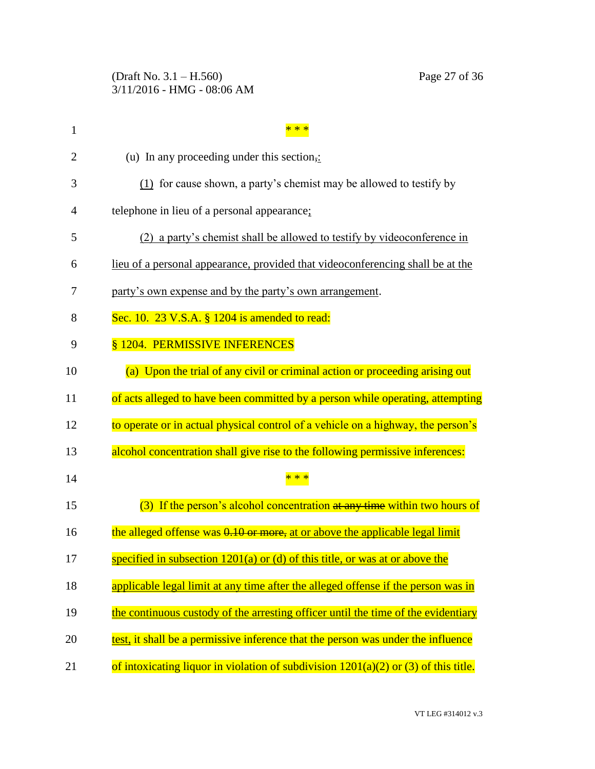(Draft No. 3.1 – H.560) Page 27 of 36 3/11/2016 - HMG - 08:06 AM

| $\mathbf{1}$ |                                                                                   |
|--------------|-----------------------------------------------------------------------------------|
| 2            | (u) In any proceeding under this section,:                                        |
| 3            | (1) for cause shown, a party's chemist may be allowed to testify by               |
| 4            | telephone in lieu of a personal appearance;                                       |
| 5            | (2) a party's chemist shall be allowed to testify by videoconference in           |
| 6            | lieu of a personal appearance, provided that videoconferencing shall be at the    |
| 7            | party's own expense and by the party's own arrangement.                           |
| 8            | Sec. 10. 23 V.S.A. § 1204 is amended to read:                                     |
| 9            | § 1204. PERMISSIVE INFERENCES                                                     |
| 10           | (a) Upon the trial of any civil or criminal action or proceeding arising out      |
| 11           | of acts alleged to have been committed by a person while operating, attempting    |
| 12           | to operate or in actual physical control of a vehicle on a highway, the person's  |
| 13           | alcohol concentration shall give rise to the following permissive inferences:     |
| 14           |                                                                                   |
| 15           | (3) If the person's alcohol concentration at any time within two hours of         |
| 16           | the alleged offense was 0.10 or more, at or above the applicable legal limit      |
| 17           | specified in subsection 1201(a) or (d) of this title, or was at or above the      |
| 18           | applicable legal limit at any time after the alleged offense if the person was in |
| 19           | the continuous custody of the arresting officer until the time of the evidentiary |
| 20           | test, it shall be a permissive inference that the person was under the influence  |
| 21           |                                                                                   |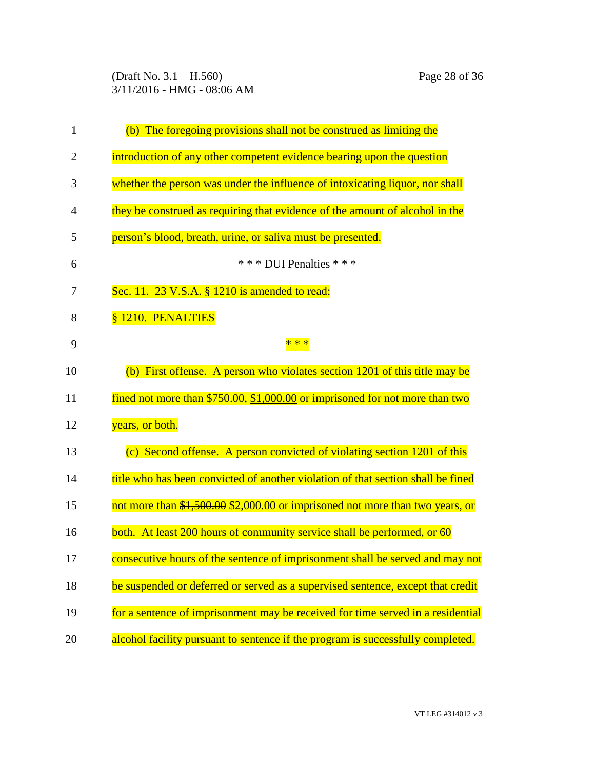(Draft No. 3.1 – H.560) Page 28 of 36 3/11/2016 - HMG - 08:06 AM

| $\mathbf{1}$   | (b) The foregoing provisions shall not be construed as limiting the              |
|----------------|----------------------------------------------------------------------------------|
| $\overline{2}$ | introduction of any other competent evidence bearing upon the question           |
| 3              | whether the person was under the influence of intoxicating liquor, nor shall     |
| 4              | they be construed as requiring that evidence of the amount of alcohol in the     |
| 5              | person's blood, breath, urine, or saliva must be presented.                      |
| 6              | *** DUI Penalties ***                                                            |
| 7              | Sec. 11. 23 V.S.A. § 1210 is amended to read:                                    |
| 8              | § 1210. PENALTIES                                                                |
| 9              | * * *                                                                            |
| 10             | (b) First offense. A person who violates section $1201$ of this title may be     |
| 11             | fined not more than $$750.00, $1,000.00$ or imprisoned for not more than two     |
| 12             | years, or both.                                                                  |
| 13             | (c) Second offense. A person convicted of violating section 1201 of this         |
| 14             | title who has been convicted of another violation of that section shall be fined |
| 15             | not more than \$1,500.00 \$2,000.00 or imprisoned not more than two years, or    |
| 16             | both. At least 200 hours of community service shall be performed, or 60          |
| 17             | consecutive hours of the sentence of imprisonment shall be served and may not    |
| 18             | be suspended or deferred or served as a supervised sentence, except that credit  |
| 19             | for a sentence of imprisonment may be received for time served in a residential  |
| 20             | alcohol facility pursuant to sentence if the program is successfully completed.  |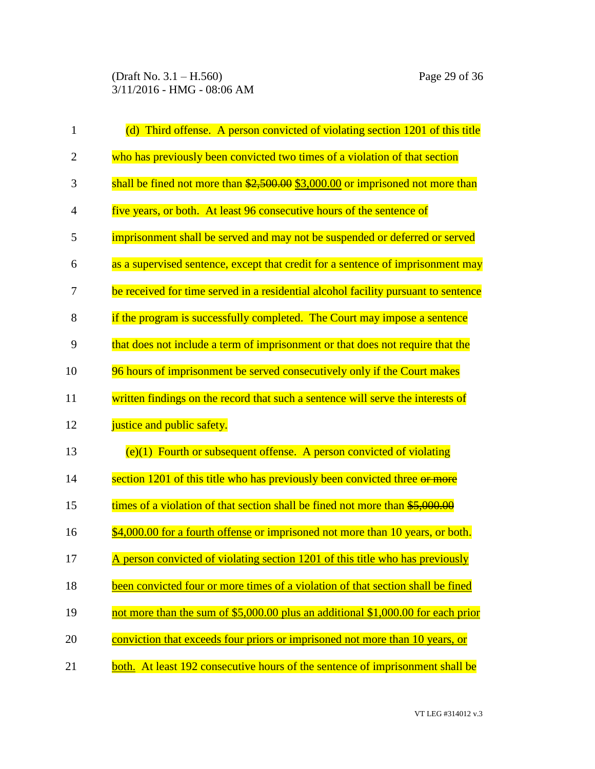(Draft No. 3.1 – H.560) Page 29 of 36 3/11/2016 - HMG - 08:06 AM

| $\mathbf{1}$   | (d) Third offense. A person convicted of violating section 1201 of this title                 |
|----------------|-----------------------------------------------------------------------------------------------|
| $\overline{2}$ | who has previously been convicted two times of a violation of that section                    |
| 3              | shall be fined not more than $\frac{2500.00}{2500.00}$ \$3,000.00 or imprisoned not more than |
| 4              | five years, or both. At least 96 consecutive hours of the sentence of                         |
| 5              | imprisonment shall be served and may not be suspended or deferred or served                   |
| 6              | as a supervised sentence, except that credit for a sentence of imprisonment may               |
| 7              | be received for time served in a residential alcohol facility pursuant to sentence            |
| 8              | if the program is successfully completed. The Court may impose a sentence                     |
| 9              | that does not include a term of imprisonment or that does not require that the                |
| 10             | 96 hours of imprisonment be served consecutively only if the Court makes                      |
| 11             | written findings on the record that such a sentence will serve the interests of               |
| 12             | justice and public safety.                                                                    |
| 13             | $(e)(1)$ Fourth or subsequent offense. A person convicted of violating                        |
| 14             | section 1201 of this title who has previously been convicted three or more                    |
| 15             | times of a violation of that section shall be fined not more than \$5,000.00                  |
| 16             | \$4,000.00 for a fourth offense or imprisoned not more than 10 years, or both.                |
| 17             | <u>A person convicted of violating section 1201 of this title who has previously</u>          |
| 18             | been convicted four or more times of a violation of that section shall be fined               |
| 19             | not more than the sum of \$5,000.00 plus an additional \$1,000.00 for each prior              |
| 20             | conviction that exceeds four priors or imprisoned not more than 10 years, or                  |
| 21             | both. At least 192 consecutive hours of the sentence of imprisonment shall be                 |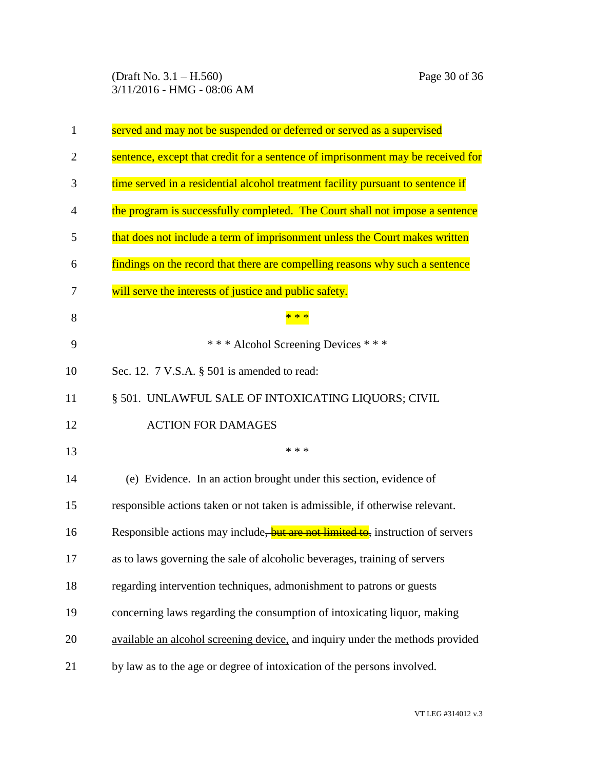(Draft No. 3.1 – H.560) Page 30 of 36 3/11/2016 - HMG - 08:06 AM

| $\mathbf{1}$   | served and may not be suspended or deferred or served as a supervised           |
|----------------|---------------------------------------------------------------------------------|
| $\overline{2}$ | sentence, except that credit for a sentence of imprisonment may be received for |
| 3              | time served in a residential alcohol treatment facility pursuant to sentence if |
| $\overline{4}$ | the program is successfully completed. The Court shall not impose a sentence    |
| 5              | that does not include a term of imprisonment unless the Court makes written     |
| 6              | findings on the record that there are compelling reasons why such a sentence    |
| 7              | will serve the interests of justice and public safety.                          |
| 8              |                                                                                 |
| 9              | *** Alcohol Screening Devices ***                                               |
| 10             | Sec. 12. 7 V.S.A. § 501 is amended to read:                                     |
| 11             | § 501. UNLAWFUL SALE OF INTOXICATING LIQUORS; CIVIL                             |
| 12             | <b>ACTION FOR DAMAGES</b>                                                       |
| 13             | * * *                                                                           |
| 14             | (e) Evidence. In an action brought under this section, evidence of              |
| 15             | responsible actions taken or not taken is admissible, if otherwise relevant.    |
| 16             | Responsible actions may include, but are not limited to, instruction of servers |
| 17             | as to laws governing the sale of alcoholic beverages, training of servers       |
| 18             | regarding intervention techniques, admonishment to patrons or guests            |
| 19             | concerning laws regarding the consumption of intoxicating liquor, making        |
| 20             | available an alcohol screening device, and inquiry under the methods provided   |
| 21             | by law as to the age or degree of intoxication of the persons involved.         |

VT LEG #314012 v.3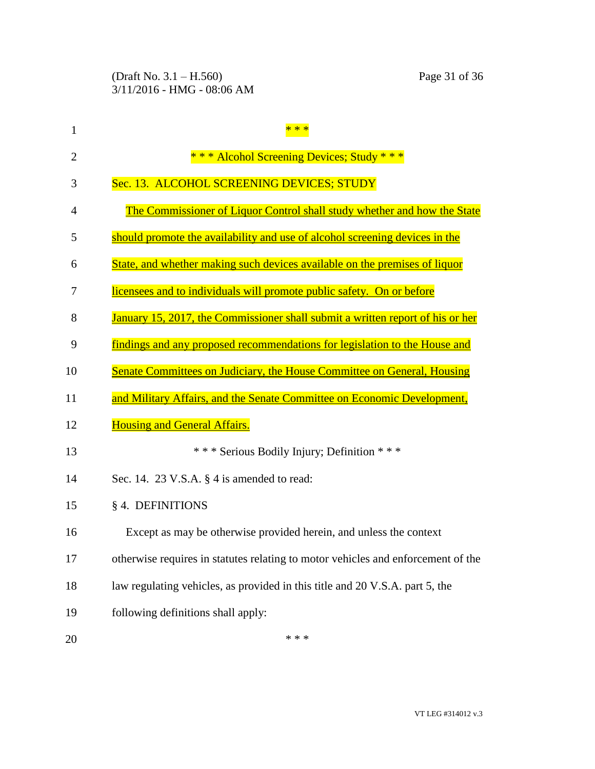| $\mathbf{1}$   |                                                                                  |
|----------------|----------------------------------------------------------------------------------|
| $\overline{2}$ | *** Alcohol Screening Devices; Study ***                                         |
| 3              | Sec. 13. ALCOHOL SCREENING DEVICES; STUDY                                        |
| 4              | The Commissioner of Liquor Control shall study whether and how the State         |
| 5              | should promote the availability and use of alcohol screening devices in the      |
| 6              | State, and whether making such devices available on the premises of liquor       |
| 7              | licensees and to individuals will promote public safety. On or before            |
| 8              | January 15, 2017, the Commissioner shall submit a written report of his or her   |
| 9              | findings and any proposed recommendations for legislation to the House and       |
| 10             | Senate Committees on Judiciary, the House Committee on General, Housing          |
| 11             | and Military Affairs, and the Senate Committee on Economic Development,          |
| 12             | <b>Housing and General Affairs.</b>                                              |
| 13             | *** Serious Bodily Injury; Definition ***                                        |
| 14             | Sec. 14. 23 V.S.A. $\S$ 4 is amended to read:                                    |
| 15             | § 4. DEFINITIONS                                                                 |
| 16             | Except as may be otherwise provided herein, and unless the context               |
| 17             | otherwise requires in statutes relating to motor vehicles and enforcement of the |
| 18             | law regulating vehicles, as provided in this title and 20 V.S.A. part 5, the     |
| 19             | following definitions shall apply:                                               |
| 20             | * * *                                                                            |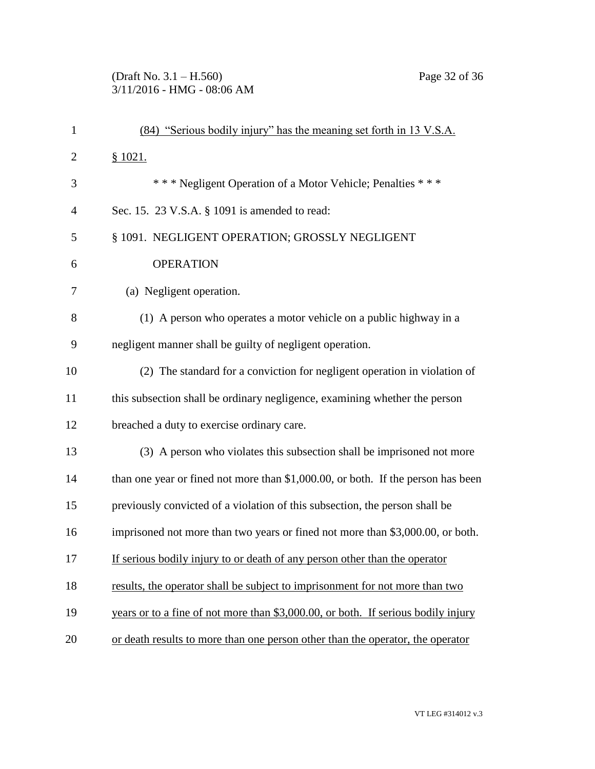## (Draft No. 3.1 – H.560) Page 32 of 36 3/11/2016 - HMG - 08:06 AM

| $\mathbf{1}$   | (84) "Serious bodily injury" has the meaning set forth in 13 V.S.A.               |
|----------------|-----------------------------------------------------------------------------------|
| $\overline{c}$ | \$1021.                                                                           |
| 3              | *** Negligent Operation of a Motor Vehicle; Penalties ***                         |
| $\overline{4}$ | Sec. 15. 23 V.S.A. § 1091 is amended to read:                                     |
| 5              | § 1091. NEGLIGENT OPERATION; GROSSLY NEGLIGENT                                    |
| 6              | <b>OPERATION</b>                                                                  |
| $\overline{7}$ | (a) Negligent operation.                                                          |
| 8              | (1) A person who operates a motor vehicle on a public highway in a                |
| 9              | negligent manner shall be guilty of negligent operation.                          |
| 10             | (2) The standard for a conviction for negligent operation in violation of         |
| 11             | this subsection shall be ordinary negligence, examining whether the person        |
| 12             | breached a duty to exercise ordinary care.                                        |
| 13             | (3) A person who violates this subsection shall be imprisoned not more            |
| 14             | than one year or fined not more than \$1,000.00, or both. If the person has been  |
| 15             | previously convicted of a violation of this subsection, the person shall be       |
| 16             | imprisoned not more than two years or fined not more than \$3,000.00, or both.    |
| 17             | If serious bodily injury to or death of any person other than the operator        |
| 18             | results, the operator shall be subject to imprisonment for not more than two      |
| 19             | years or to a fine of not more than \$3,000.00, or both. If serious bodily injury |
| 20             | or death results to more than one person other than the operator, the operator    |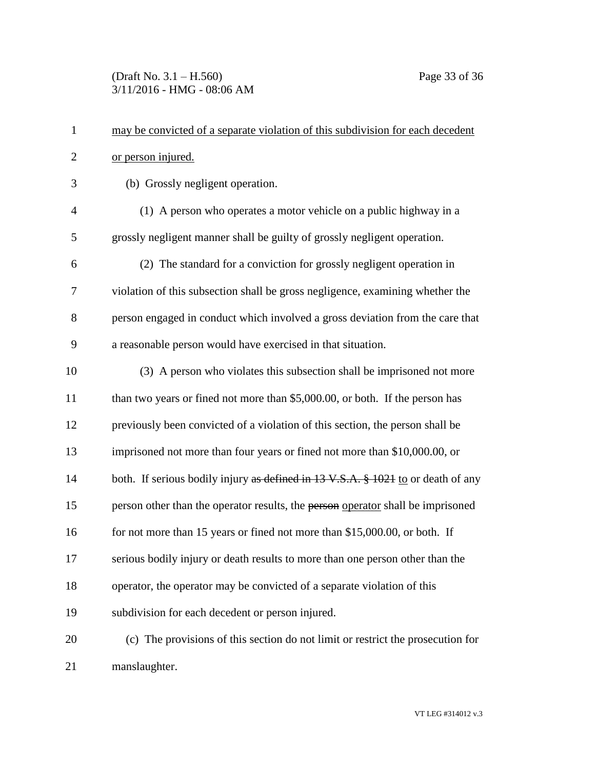(Draft No. 3.1 – H.560) Page 33 of 36 3/11/2016 - HMG - 08:06 AM

| $\mathbf{1}$   | may be convicted of a separate violation of this subdivision for each decedent   |
|----------------|----------------------------------------------------------------------------------|
| $\overline{2}$ | or person injured.                                                               |
| 3              | (b) Grossly negligent operation.                                                 |
| $\overline{4}$ | (1) A person who operates a motor vehicle on a public highway in a               |
| 5              | grossly negligent manner shall be guilty of grossly negligent operation.         |
| 6              | (2) The standard for a conviction for grossly negligent operation in             |
| 7              | violation of this subsection shall be gross negligence, examining whether the    |
| 8              | person engaged in conduct which involved a gross deviation from the care that    |
| 9              | a reasonable person would have exercised in that situation.                      |
| 10             | (3) A person who violates this subsection shall be imprisoned not more           |
| 11             | than two years or fined not more than \$5,000.00, or both. If the person has     |
| 12             | previously been convicted of a violation of this section, the person shall be    |
| 13             | imprisoned not more than four years or fined not more than \$10,000.00, or       |
| 14             | both. If serious bodily injury as defined in 13 V.S.A. § 1021 to or death of any |
| 15             | person other than the operator results, the person operator shall be imprisoned  |
| 16             | for not more than 15 years or fined not more than \$15,000.00, or both. If       |
| 17             | serious bodily injury or death results to more than one person other than the    |
| 18             | operator, the operator may be convicted of a separate violation of this          |
| 19             | subdivision for each decedent or person injured.                                 |
| 20             | (c) The provisions of this section do not limit or restrict the prosecution for  |
| 21             | manslaughter.                                                                    |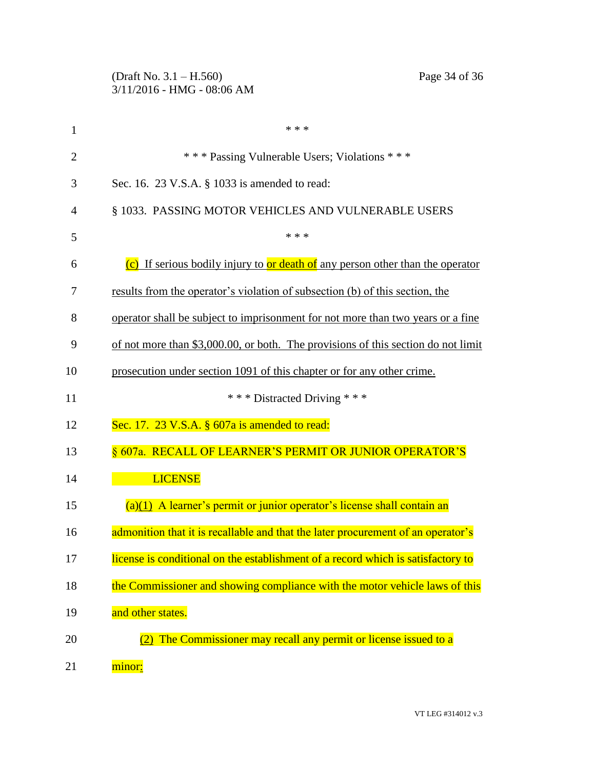|                | Page 34 of 36<br>(Draft No. $3.1 - H.560$ )<br>$3/11/2016$ - HMG - 08:06 AM       |
|----------------|-----------------------------------------------------------------------------------|
| 1              | * * *                                                                             |
| $\overline{2}$ | *** Passing Vulnerable Users; Violations ***                                      |
| 3              | Sec. 16. 23 V.S.A. § 1033 is amended to read:                                     |
| 4              | § 1033. PASSING MOTOR VEHICLES AND VULNERABLE USERS                               |
| 5              | * * *                                                                             |
| 6              | (c) If serious bodily injury to or death of any person other than the operator    |
| 7              | results from the operator's violation of subsection (b) of this section, the      |
| 8              | operator shall be subject to imprisonment for not more than two years or a fine   |
| 9              | of not more than \$3,000.00, or both. The provisions of this section do not limit |
| 10             | prosecution under section 1091 of this chapter or for any other crime.            |
| 11             | *** Distracted Driving ***                                                        |
| 12             | Sec. 17. $23$ V.S.A. $\S$ 607a is amended to read:                                |
| 13             | § 607a. RECALL OF LEARNER'S PERMIT OR JUNIOR OPERATOR'S                           |
| 14             | <b>LICENSE</b>                                                                    |
| 15             | $(a)(1)$ A learner's permit or junior operator's license shall contain an         |
| 16             | admonition that it is recallable and that the later procurement of an operator's  |
| 17             | license is conditional on the establishment of a record which is satisfactory to  |
| 18             | the Commissioner and showing compliance with the motor vehicle laws of this       |
| 19             | and other states.                                                                 |
| 20             | The Commissioner may recall any permit or license issued to a                     |
| 21             | minor <u>:</u>                                                                    |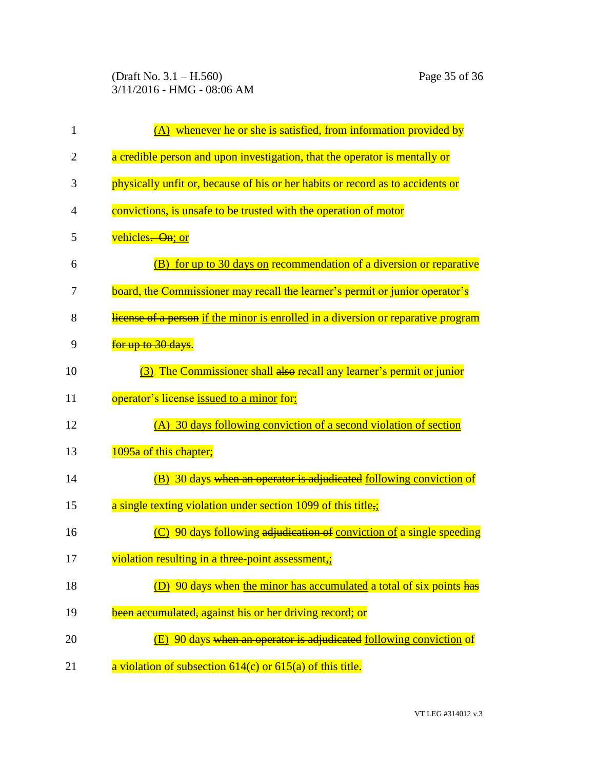(Draft No. 3.1 – H.560) Page 35 of 36 3/11/2016 - HMG - 08:06 AM

| $\mathbf{1}$   | $(A)$ whenever he or she is satisfied, from information provided by                      |
|----------------|------------------------------------------------------------------------------------------|
| $\overline{2}$ | a credible person and upon investigation, that the operator is mentally or               |
| 3              | physically unfit or, because of his or her habits or record as to accidents or           |
| 4              | convictions, is unsafe to be trusted with the operation of motor                         |
| 5              | vehicles. On; or                                                                         |
| 6              | for up to 30 days on recommendation of a diversion or reparative<br>(B)                  |
| 7              | board <del>, the Commissioner may recall the learner's permit or junior operator's</del> |
| 8              | license of a person if the minor is enrolled in a diversion or reparative program        |
| 9              | for up to 30 days.                                                                       |
| 10             | (3) The Commissioner shall also recall any learner's permit or junior                    |
| 11             | operator's license issued to a minor for:                                                |
| 12             | (A) 30 days following conviction of a second violation of section                        |
| 13             | 1095a of this chapter;                                                                   |
| 14             | (B) 30 days when an operator is adjudicated following conviction of                      |
| 15             | a single texting violation under section 1099 of this title,;                            |
| 16             | (C) 90 days following adjudication of conviction of a single speeding                    |
| 17             | violation resulting in a three-point assessment,:                                        |
| 18             | (D) 90 days when the minor has accumulated a total of six points has                     |
| 19             | been accumulated, against his or her driving record; or                                  |
| 20             | (E) 90 days when an operator is adjudicated following conviction of                      |
| 21             | a violation of subsection $614(c)$ or $615(a)$ of this title.                            |